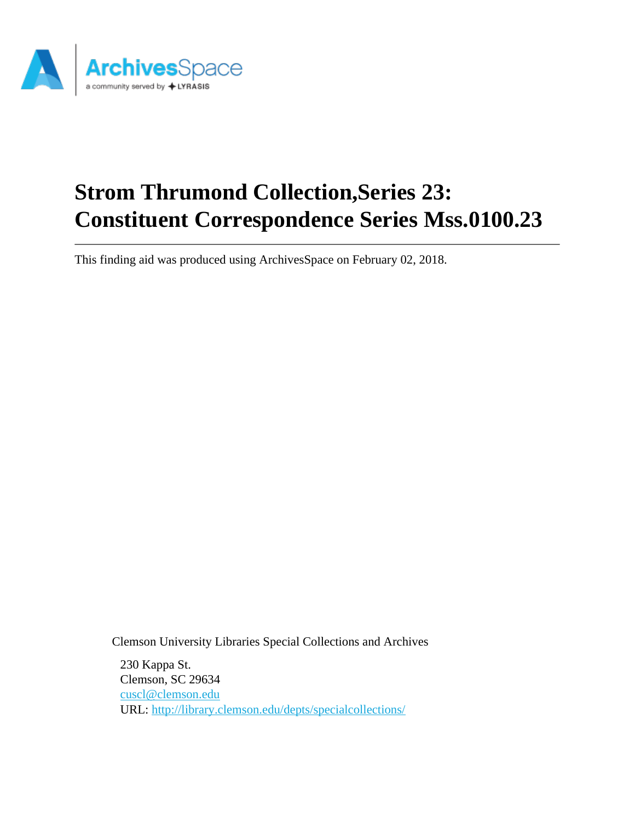

# **Strom Thrumond Collection,Series 23: Constituent Correspondence Series Mss.0100.23**

This finding aid was produced using ArchivesSpace on February 02, 2018.

Clemson University Libraries Special Collections and Archives

230 Kappa St. Clemson, SC 29634 [cuscl@clemson.edu](mailto:cuscl@clemson.edu) URL:<http://library.clemson.edu/depts/specialcollections/>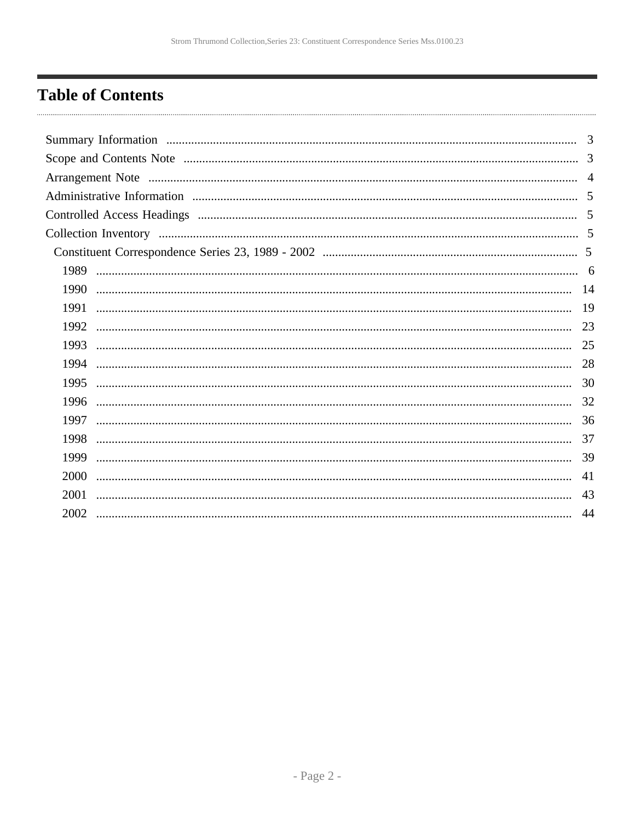## <span id="page-1-0"></span>**Table of Contents**

|      | 3   |
|------|-----|
|      |     |
|      |     |
|      |     |
|      |     |
|      |     |
|      |     |
| 1989 |     |
| 1990 |     |
| 1991 | -19 |
| 1992 | 23  |
| 1993 | 25  |
| 1994 | 28  |
| 1995 | 30  |
| 1996 | 32  |
| 1997 | 36  |
| 1998 | 37  |
| 1999 | 39  |
| 2000 | 41  |
| 2001 | 43  |
| 2002 | 44  |
|      |     |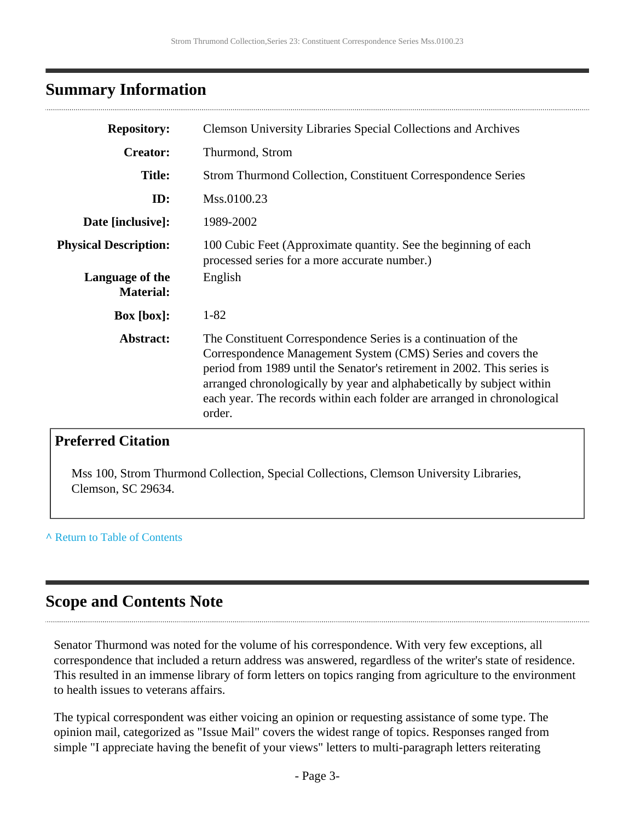### <span id="page-2-0"></span>**Summary Information**

| <b>Repository:</b>                  | <b>Clemson University Libraries Special Collections and Archives</b>                                                                                                                                                                                                                                                                                                    |
|-------------------------------------|-------------------------------------------------------------------------------------------------------------------------------------------------------------------------------------------------------------------------------------------------------------------------------------------------------------------------------------------------------------------------|
| <b>Creator:</b>                     | Thurmond, Strom                                                                                                                                                                                                                                                                                                                                                         |
| <b>Title:</b>                       | <b>Strom Thurmond Collection, Constituent Correspondence Series</b>                                                                                                                                                                                                                                                                                                     |
| ID:                                 | Mss.0100.23                                                                                                                                                                                                                                                                                                                                                             |
| Date [inclusive]:                   | 1989-2002                                                                                                                                                                                                                                                                                                                                                               |
| <b>Physical Description:</b>        | 100 Cubic Feet (Approximate quantity. See the beginning of each<br>processed series for a more accurate number.)                                                                                                                                                                                                                                                        |
| Language of the<br><b>Material:</b> | English                                                                                                                                                                                                                                                                                                                                                                 |
| <b>Box</b> [box]:                   | $1 - 82$                                                                                                                                                                                                                                                                                                                                                                |
| Abstract:                           | The Constituent Correspondence Series is a continuation of the<br>Correspondence Management System (CMS) Series and covers the<br>period from 1989 until the Senator's retirement in 2002. This series is<br>arranged chronologically by year and alphabetically by subject within<br>each year. The records within each folder are arranged in chronological<br>order. |

### **Preferred Citation**

Mss 100, Strom Thurmond Collection, Special Collections, Clemson University Libraries, Clemson, SC 29634.

#### **^** [Return to Table of Contents](#page-1-0)

### <span id="page-2-1"></span>**Scope and Contents Note**

Senator Thurmond was noted for the volume of his correspondence. With very few exceptions, all correspondence that included a return address was answered, regardless of the writer's state of residence. This resulted in an immense library of form letters on topics ranging from agriculture to the environment to health issues to veterans affairs.

The typical correspondent was either voicing an opinion or requesting assistance of some type. The opinion mail, categorized as "Issue Mail" covers the widest range of topics. Responses ranged from simple "I appreciate having the benefit of your views" letters to multi-paragraph letters reiterating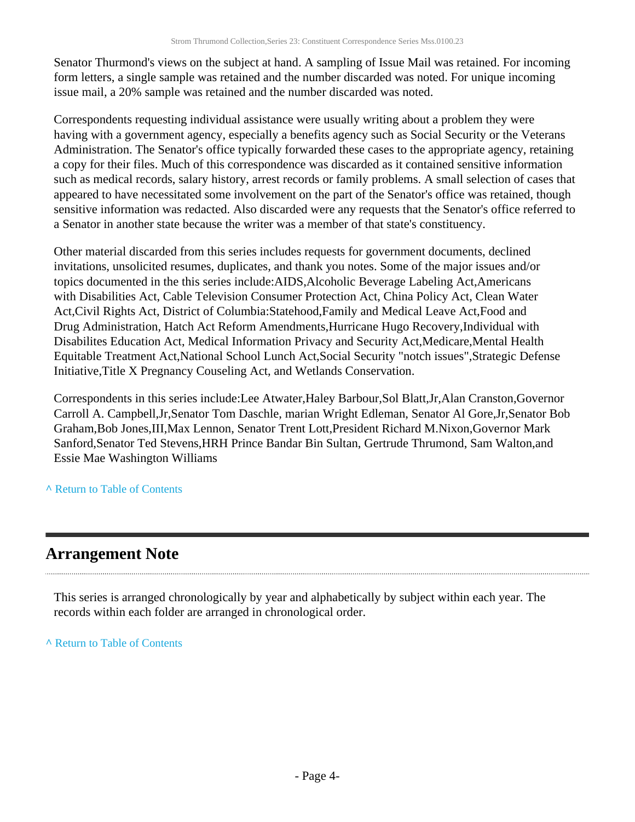Senator Thurmond's views on the subject at hand. A sampling of Issue Mail was retained. For incoming form letters, a single sample was retained and the number discarded was noted. For unique incoming issue mail, a 20% sample was retained and the number discarded was noted.

Correspondents requesting individual assistance were usually writing about a problem they were having with a government agency, especially a benefits agency such as Social Security or the Veterans Administration. The Senator's office typically forwarded these cases to the appropriate agency, retaining a copy for their files. Much of this correspondence was discarded as it contained sensitive information such as medical records, salary history, arrest records or family problems. A small selection of cases that appeared to have necessitated some involvement on the part of the Senator's office was retained, though sensitive information was redacted. Also discarded were any requests that the Senator's office referred to a Senator in another state because the writer was a member of that state's constituency.

Other material discarded from this series includes requests for government documents, declined invitations, unsolicited resumes, duplicates, and thank you notes. Some of the major issues and/or topics documented in the this series include:AIDS,Alcoholic Beverage Labeling Act,Americans with Disabilities Act, Cable Television Consumer Protection Act, China Policy Act, Clean Water Act,Civil Rights Act, District of Columbia:Statehood,Family and Medical Leave Act,Food and Drug Administration, Hatch Act Reform Amendments,Hurricane Hugo Recovery,Individual with Disabilites Education Act, Medical Information Privacy and Security Act,Medicare,Mental Health Equitable Treatment Act,National School Lunch Act,Social Security "notch issues",Strategic Defense Initiative,Title X Pregnancy Couseling Act, and Wetlands Conservation.

Correspondents in this series include:Lee Atwater,Haley Barbour,Sol Blatt,Jr,Alan Cranston,Governor Carroll A. Campbell,Jr,Senator Tom Daschle, marian Wright Edleman, Senator Al Gore,Jr,Senator Bob Graham,Bob Jones,III,Max Lennon, Senator Trent Lott,President Richard M.Nixon,Governor Mark Sanford,Senator Ted Stevens,HRH Prince Bandar Bin Sultan, Gertrude Thrumond, Sam Walton,and Essie Mae Washington Williams

#### **^** [Return to Table of Contents](#page-1-0)

### <span id="page-3-0"></span>**Arrangement Note**

This series is arranged chronologically by year and alphabetically by subject within each year. The records within each folder are arranged in chronological order.

**^** [Return to Table of Contents](#page-1-0)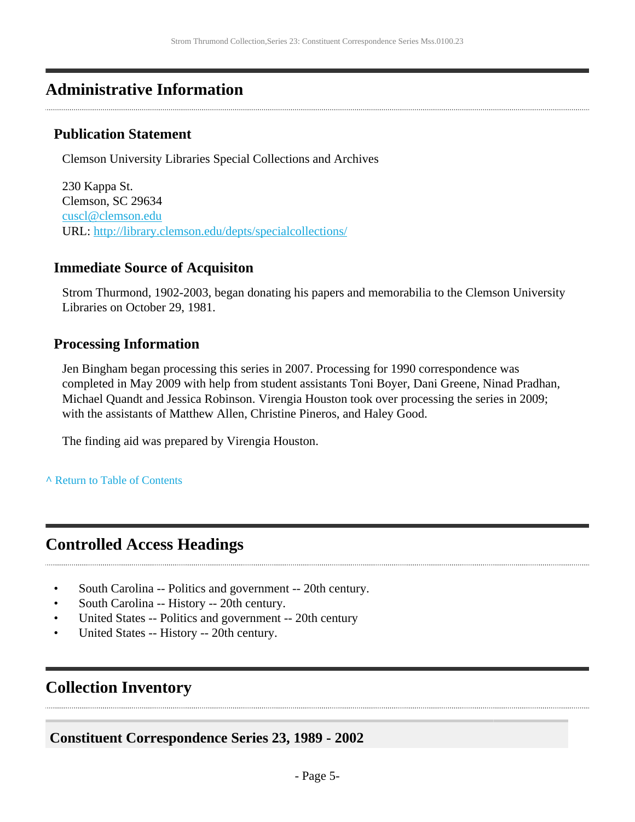### <span id="page-4-0"></span>**Administrative Information**

### **Publication Statement**

Clemson University Libraries Special Collections and Archives

230 Kappa St. Clemson, SC 29634 [cuscl@clemson.edu](mailto:cuscl@clemson.edu) URL:<http://library.clemson.edu/depts/specialcollections/>

### **Immediate Source of Acquisiton**

Strom Thurmond, 1902-2003, began donating his papers and memorabilia to the Clemson University Libraries on October 29, 1981.

### **Processing Information**

Jen Bingham began processing this series in 2007. Processing for 1990 correspondence was completed in May 2009 with help from student assistants Toni Boyer, Dani Greene, Ninad Pradhan, Michael Quandt and Jessica Robinson. Virengia Houston took over processing the series in 2009; with the assistants of Matthew Allen, Christine Pineros, and Haley Good.

The finding aid was prepared by Virengia Houston.

#### **^** [Return to Table of Contents](#page-1-0)

### <span id="page-4-1"></span>**Controlled Access Headings**

- South Carolina -- Politics and government -- 20th century.
- South Carolina -- History -- 20th century.
- United States -- Politics and government -- 20th century
- United States -- History -- 20th century.

### <span id="page-4-2"></span>**Collection Inventory**

### <span id="page-4-3"></span>**Constituent Correspondence Series 23, 1989 - 2002**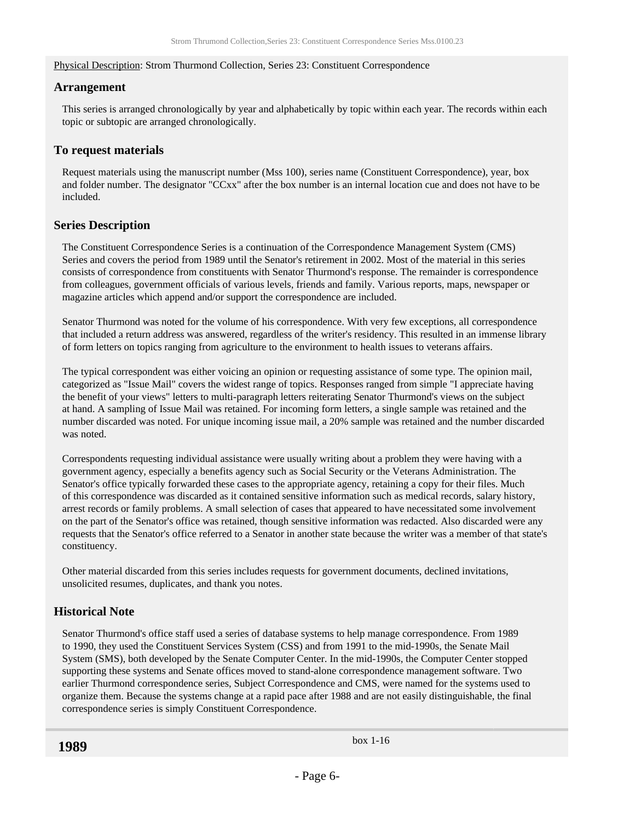#### Physical Description: Strom Thurmond Collection, Series 23: Constituent Correspondence

#### **Arrangement**

This series is arranged chronologically by year and alphabetically by topic within each year. The records within each topic or subtopic are arranged chronologically.

#### **To request materials**

Request materials using the manuscript number (Mss 100), series name (Constituent Correspondence), year, box and folder number. The designator "CCxx" after the box number is an internal location cue and does not have to be included.

#### **Series Description**

The Constituent Correspondence Series is a continuation of the Correspondence Management System (CMS) Series and covers the period from 1989 until the Senator's retirement in 2002. Most of the material in this series consists of correspondence from constituents with Senator Thurmond's response. The remainder is correspondence from colleagues, government officials of various levels, friends and family. Various reports, maps, newspaper or magazine articles which append and/or support the correspondence are included.

Senator Thurmond was noted for the volume of his correspondence. With very few exceptions, all correspondence that included a return address was answered, regardless of the writer's residency. This resulted in an immense library of form letters on topics ranging from agriculture to the environment to health issues to veterans affairs.

The typical correspondent was either voicing an opinion or requesting assistance of some type. The opinion mail, categorized as "Issue Mail" covers the widest range of topics. Responses ranged from simple "I appreciate having the benefit of your views" letters to multi-paragraph letters reiterating Senator Thurmond's views on the subject at hand. A sampling of Issue Mail was retained. For incoming form letters, a single sample was retained and the number discarded was noted. For unique incoming issue mail, a 20% sample was retained and the number discarded was noted.

Correspondents requesting individual assistance were usually writing about a problem they were having with a government agency, especially a benefits agency such as Social Security or the Veterans Administration. The Senator's office typically forwarded these cases to the appropriate agency, retaining a copy for their files. Much of this correspondence was discarded as it contained sensitive information such as medical records, salary history, arrest records or family problems. A small selection of cases that appeared to have necessitated some involvement on the part of the Senator's office was retained, though sensitive information was redacted. Also discarded were any requests that the Senator's office referred to a Senator in another state because the writer was a member of that state's constituency.

Other material discarded from this series includes requests for government documents, declined invitations, unsolicited resumes, duplicates, and thank you notes.

#### **Historical Note**

<span id="page-5-0"></span>Senator Thurmond's office staff used a series of database systems to help manage correspondence. From 1989 to 1990, they used the Constituent Services System (CSS) and from 1991 to the mid-1990s, the Senate Mail System (SMS), both developed by the Senate Computer Center. In the mid-1990s, the Computer Center stopped supporting these systems and Senate offices moved to stand-alone correspondence management software. Two earlier Thurmond correspondence series, Subject Correspondence and CMS, were named for the systems used to organize them. Because the systems change at a rapid pace after 1988 and are not easily distinguishable, the final correspondence series is simply Constituent Correspondence.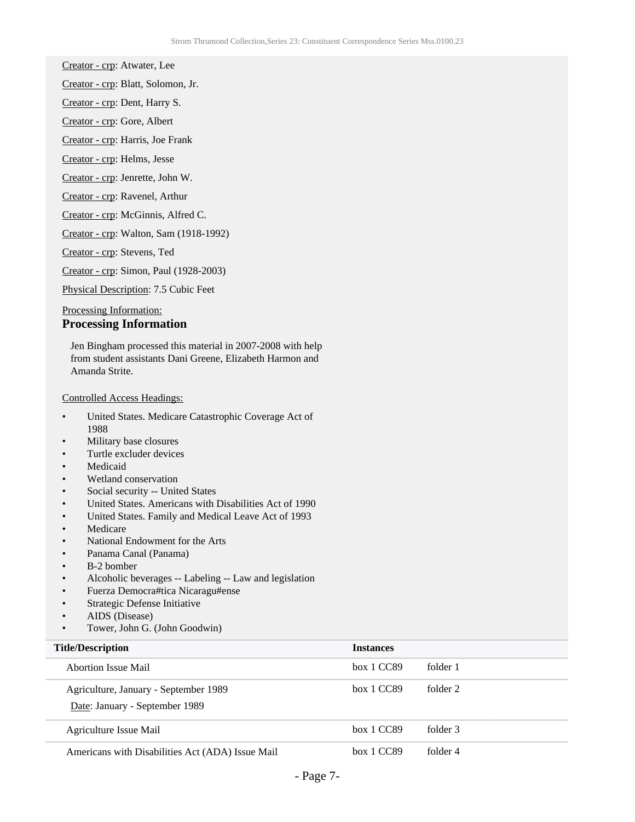Creator - crp: Atwater, Lee

Creator - crp: Blatt, Solomon, Jr.

Creator - crp: Dent, Harry S.

Creator - crp: Gore, Albert

Creator - crp: Harris, Joe Frank

Creator - crp: Helms, Jesse

Creator - crp: Jenrette, John W.

Creator - crp: Ravenel, Arthur

Creator - crp: McGinnis, Alfred C.

Creator - crp: Walton, Sam (1918-1992)

Creator - crp: Stevens, Ted

Creator - crp: Simon, Paul (1928-2003)

Physical Description: 7.5 Cubic Feet

#### Processing Information:

#### **Processing Information**

Jen Bingham processed this material in 2007-2008 with help from student assistants Dani Greene, Elizabeth Harmon and Amanda Strite.

#### Controlled Access Headings:

- United States. Medicare Catastrophic Coverage Act of 1988
- Military base closures
- Turtle excluder devices
- **Medicaid**
- Wetland conservation
- Social security -- United States
- United States. Americans with Disabilities Act of 1990
- United States. Family and Medical Leave Act of 1993
- **Medicare**
- National Endowment for the Arts
- Panama Canal (Panama)
- B-2 bomber
- Alcoholic beverages -- Labeling -- Law and legislation
- Fuerza Democra#tica Nicaragu#ense
- Strategic Defense Initiative
- AIDS (Disease)
- Tower, John G. (John Goodwin)

| <b>Title/Description</b>                                                | <b>Instances</b> |          |
|-------------------------------------------------------------------------|------------------|----------|
| <b>Abortion Issue Mail</b>                                              | box 1 CC89       | folder 1 |
| Agriculture, January - September 1989<br>Date: January - September 1989 | box 1 CC89       | folder 2 |
| Agriculture Issue Mail                                                  | box 1 CC89       | folder 3 |
| Americans with Disabilities Act (ADA) Issue Mail                        | box 1 CC89       | folder 4 |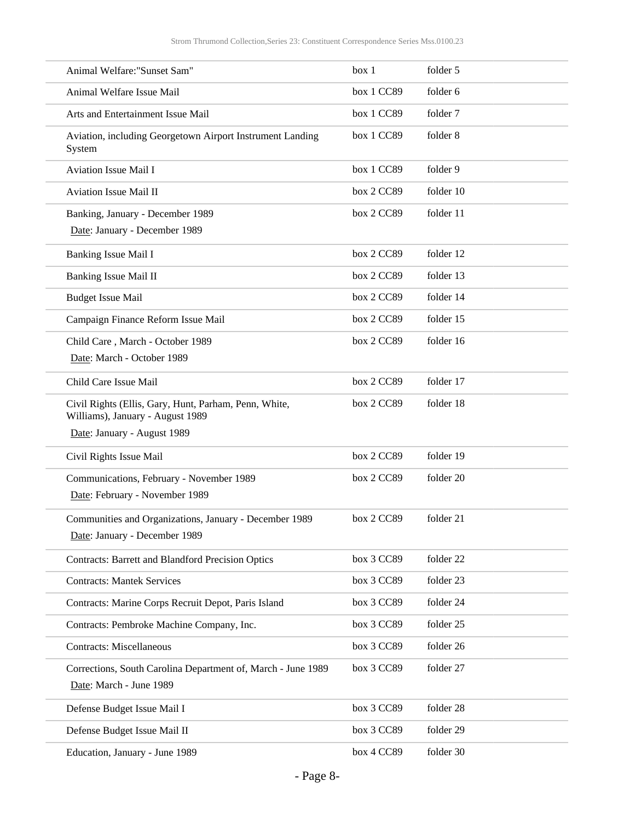| Animal Welfare: "Sunset Sam"                                                                                             | box 1      | folder 5  |
|--------------------------------------------------------------------------------------------------------------------------|------------|-----------|
| Animal Welfare Issue Mail                                                                                                | box 1 CC89 | folder 6  |
| Arts and Entertainment Issue Mail                                                                                        | box 1 CC89 | folder 7  |
| Aviation, including Georgetown Airport Instrument Landing<br>System                                                      | box 1 CC89 | folder 8  |
| <b>Aviation Issue Mail I</b>                                                                                             | box 1 CC89 | folder 9  |
| Aviation Issue Mail II                                                                                                   | box 2 CC89 | folder 10 |
| Banking, January - December 1989<br>Date: January - December 1989                                                        | box 2 CC89 | folder 11 |
| Banking Issue Mail I                                                                                                     | box 2 CC89 | folder 12 |
| <b>Banking Issue Mail II</b>                                                                                             | box 2 CC89 | folder 13 |
| <b>Budget Issue Mail</b>                                                                                                 | box 2 CC89 | folder 14 |
| Campaign Finance Reform Issue Mail                                                                                       | box 2 CC89 | folder 15 |
| Child Care, March - October 1989<br>Date: March - October 1989                                                           | box 2 CC89 | folder 16 |
| Child Care Issue Mail                                                                                                    | box 2 CC89 | folder 17 |
| Civil Rights (Ellis, Gary, Hunt, Parham, Penn, White,<br>Williams), January - August 1989<br>Date: January - August 1989 | box 2 CC89 | folder 18 |
| Civil Rights Issue Mail                                                                                                  | box 2 CC89 | folder 19 |
| Communications, February - November 1989<br>Date: February - November 1989                                               | box 2 CC89 | folder 20 |
| Communities and Organizations, January - December 1989<br>Date: January - December 1989                                  | box 2 CC89 | folder 21 |
| <b>Contracts: Barrett and Blandford Precision Optics</b>                                                                 | box 3 CC89 | folder 22 |
| <b>Contracts: Mantek Services</b>                                                                                        | box 3 CC89 | folder 23 |
| Contracts: Marine Corps Recruit Depot, Paris Island                                                                      | box 3 CC89 | folder 24 |
| Contracts: Pembroke Machine Company, Inc.                                                                                | box 3 CC89 | folder 25 |
| <b>Contracts: Miscellaneous</b>                                                                                          | box 3 CC89 | folder 26 |
|                                                                                                                          |            |           |
| Corrections, South Carolina Department of, March - June 1989<br>Date: March - June 1989                                  | box 3 CC89 | folder 27 |
| Defense Budget Issue Mail I                                                                                              | box 3 CC89 | folder 28 |
| Defense Budget Issue Mail II                                                                                             | box 3 CC89 | folder 29 |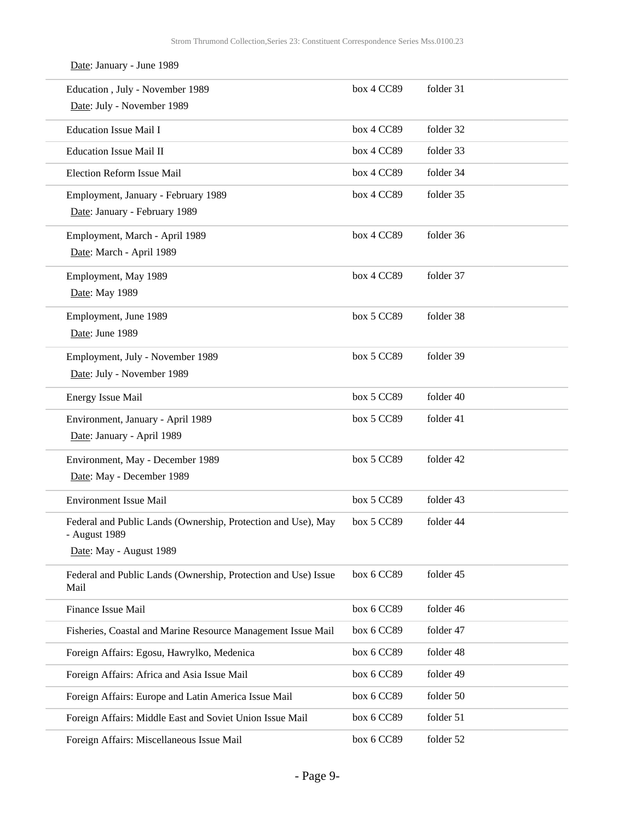| Date: January - June 1989                                                                                 |              |           |
|-----------------------------------------------------------------------------------------------------------|--------------|-----------|
| Education, July - November 1989<br>Date: July - November 1989                                             | box 4 CC89   | folder 31 |
| <b>Education Issue Mail I</b>                                                                             | box 4 CC89   | folder 32 |
| <b>Education Issue Mail II</b>                                                                            | box 4 CC89   | folder 33 |
| Election Reform Issue Mail                                                                                | box 4 CC89   | folder 34 |
| Employment, January - February 1989<br>Date: January - February 1989                                      | box 4 CC89   | folder 35 |
| Employment, March - April 1989<br>Date: March - April 1989                                                | box 4 CC89   | folder 36 |
| Employment, May 1989<br>Date: May 1989                                                                    | box 4 CC89   | folder 37 |
| Employment, June 1989<br>Date: June 1989                                                                  | box 5 CC89   | folder 38 |
| Employment, July - November 1989<br>Date: July - November 1989                                            | box 5 CC89   | folder 39 |
| <b>Energy Issue Mail</b>                                                                                  | box 5 CC89   | folder 40 |
| Environment, January - April 1989<br>Date: January - April 1989                                           | box 5 CC89   | folder 41 |
| Environment, May - December 1989<br>Date: May - December 1989                                             | box 5 CC89   | folder 42 |
| <b>Environment Issue Mail</b>                                                                             | $box~5$ CC89 | folder 43 |
| Federal and Public Lands (Ownership, Protection and Use), May<br>- August 1989<br>Date: May - August 1989 | box 5 CC89   | folder 44 |
| Federal and Public Lands (Ownership, Protection and Use) Issue<br>Mail                                    | box 6 CC89   | folder 45 |
| Finance Issue Mail                                                                                        | box 6 CC89   | folder 46 |
| Fisheries, Coastal and Marine Resource Management Issue Mail                                              | box 6 CC89   | folder 47 |
| Foreign Affairs: Egosu, Hawrylko, Medenica                                                                | box 6 CC89   | folder 48 |
| Foreign Affairs: Africa and Asia Issue Mail                                                               | box 6 CC89   | folder 49 |
| Foreign Affairs: Europe and Latin America Issue Mail                                                      | box 6 CC89   | folder 50 |
| Foreign Affairs: Middle East and Soviet Union Issue Mail                                                  | box 6 CC89   | folder 51 |
| Foreign Affairs: Miscellaneous Issue Mail                                                                 | box 6 CC89   | folder 52 |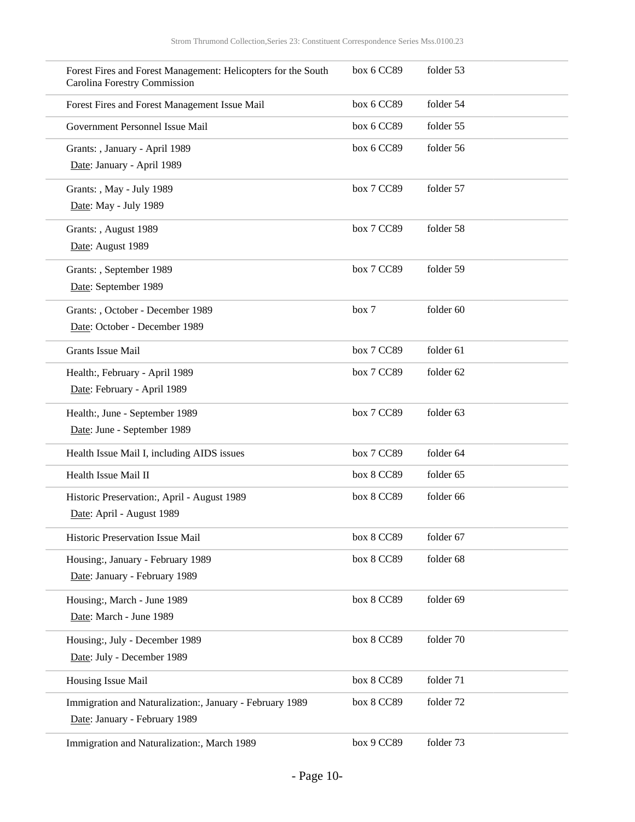| Forest Fires and Forest Management: Helicopters for the South<br>Carolina Forestry Commission | box 6 CC89 | folder 53 |  |
|-----------------------------------------------------------------------------------------------|------------|-----------|--|
| Forest Fires and Forest Management Issue Mail                                                 | box 6 CC89 | folder 54 |  |
| Government Personnel Issue Mail                                                               | box 6 CC89 | folder 55 |  |
| Grants: , January - April 1989                                                                | box 6 CC89 | folder 56 |  |
| Date: January - April 1989                                                                    |            |           |  |
| Grants: , May - July 1989                                                                     | box 7 CC89 | folder 57 |  |
| Date: May - July 1989                                                                         |            |           |  |
| Grants: , August 1989                                                                         | box 7 CC89 | folder 58 |  |
| Date: August 1989                                                                             |            |           |  |
| Grants: , September 1989                                                                      | box 7 CC89 | folder 59 |  |
| Date: September 1989                                                                          |            |           |  |
| Grants: , October - December 1989                                                             | box 7      | folder 60 |  |
| Date: October - December 1989                                                                 |            |           |  |
| <b>Grants Issue Mail</b>                                                                      | box 7 CC89 | folder 61 |  |
| Health:, February - April 1989                                                                | box 7 CC89 | folder 62 |  |
| Date: February - April 1989                                                                   |            |           |  |
| Health:, June - September 1989                                                                | box 7 CC89 | folder 63 |  |
| Date: June - September 1989                                                                   |            |           |  |
| Health Issue Mail I, including AIDS issues                                                    | box 7 CC89 | folder 64 |  |
| Health Issue Mail II                                                                          | box 8 CC89 | folder 65 |  |
| Historic Preservation:, April - August 1989                                                   | box 8 CC89 | folder 66 |  |
| Date: April - August 1989                                                                     |            |           |  |
| Historic Preservation Issue Mail                                                              | box 8 CC89 | folder 67 |  |
| Housing:, January - February 1989                                                             | box 8 CC89 | folder 68 |  |
| Date: January - February 1989                                                                 |            |           |  |
| Housing:, March - June 1989                                                                   | box 8 CC89 | folder 69 |  |
| Date: March - June 1989                                                                       |            |           |  |
| Housing:, July - December 1989                                                                | box 8 CC89 | folder 70 |  |
| Date: July - December 1989                                                                    |            |           |  |
| Housing Issue Mail                                                                            | box 8 CC89 | folder 71 |  |
| Immigration and Naturalization:, January - February 1989                                      | box 8 CC89 | folder 72 |  |
| Date: January - February 1989                                                                 |            |           |  |
| Immigration and Naturalization:, March 1989                                                   | box 9 CC89 | folder 73 |  |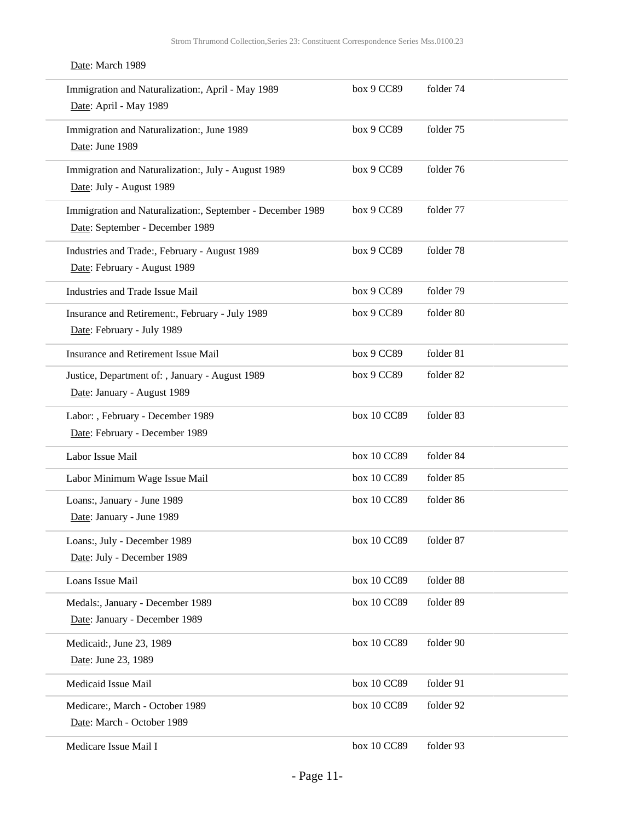Date: March 1989

| Immigration and Naturalization:, April - May 1989<br>Date: April - May 1989                   | box 9 CC89  | folder 74 |
|-----------------------------------------------------------------------------------------------|-------------|-----------|
| Immigration and Naturalization:, June 1989<br>Date: June 1989                                 | box 9 CC89  | folder 75 |
| Immigration and Naturalization:, July - August 1989<br>Date: July - August 1989               | box 9 CC89  | folder 76 |
| Immigration and Naturalization:, September - December 1989<br>Date: September - December 1989 | box 9 CC89  | folder 77 |
| Industries and Trade:, February - August 1989<br>Date: February - August 1989                 | box 9 CC89  | folder 78 |
| Industries and Trade Issue Mail                                                               | box 9 CC89  | folder 79 |
| Insurance and Retirement:, February - July 1989<br>Date: February - July 1989                 | box 9 CC89  | folder 80 |
| Insurance and Retirement Issue Mail                                                           | box 9 CC89  | folder 81 |
| Justice, Department of: , January - August 1989<br>Date: January - August 1989                | box 9 CC89  | folder 82 |
| Labor: , February - December 1989<br>Date: February - December 1989                           | box 10 CC89 | folder 83 |
| Labor Issue Mail                                                                              | box 10 CC89 | folder 84 |
| Labor Minimum Wage Issue Mail                                                                 | box 10 CC89 | folder 85 |
| Loans:, January - June 1989<br>Date: January - June 1989                                      | box 10 CC89 | folder 86 |
| Loans:, July - December 1989<br>Date: July - December 1989                                    | box 10 CC89 | folder 87 |
| Loans Issue Mail                                                                              | box 10 CC89 | folder 88 |
| Medals:, January - December 1989<br>Date: January - December 1989                             | box 10 CC89 | folder 89 |
| Medicaid:, June 23, 1989<br>Date: June 23, 1989                                               | box 10 CC89 | folder 90 |
| Medicaid Issue Mail                                                                           | box 10 CC89 | folder 91 |
| Medicare:, March - October 1989<br>Date: March - October 1989                                 | box 10 CC89 | folder 92 |
| Medicare Issue Mail I                                                                         | box 10 CC89 | folder 93 |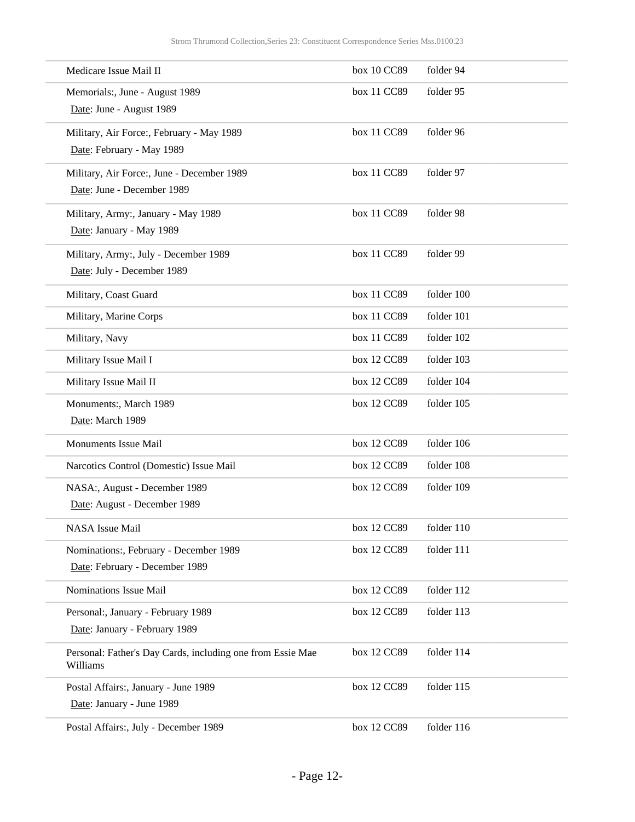| Medicare Issue Mail II                                                 | box 10 CC89 | folder 94  |
|------------------------------------------------------------------------|-------------|------------|
| Memorials:, June - August 1989                                         | box 11 CC89 | folder 95  |
| Date: June - August 1989                                               |             |            |
| Military, Air Force:, February - May 1989                              | box 11 CC89 | folder 96  |
| Date: February - May 1989                                              |             |            |
| Military, Air Force:, June - December 1989                             | box 11 CC89 | folder 97  |
| Date: June - December 1989                                             |             |            |
| Military, Army:, January - May 1989                                    | box 11 CC89 | folder 98  |
| Date: January - May 1989                                               |             |            |
| Military, Army:, July - December 1989                                  | box 11 CC89 | folder 99  |
| Date: July - December 1989                                             |             |            |
| Military, Coast Guard                                                  | box 11 CC89 | folder 100 |
| Military, Marine Corps                                                 | box 11 CC89 | folder 101 |
| Military, Navy                                                         | box 11 CC89 | folder 102 |
| Military Issue Mail I                                                  | box 12 CC89 | folder 103 |
| Military Issue Mail II                                                 | box 12 CC89 | folder 104 |
| Monuments:, March 1989                                                 | box 12 CC89 | folder 105 |
| Date: March 1989                                                       |             |            |
| <b>Monuments Issue Mail</b>                                            | box 12 CC89 | folder 106 |
| Narcotics Control (Domestic) Issue Mail                                | box 12 CC89 | folder 108 |
| NASA:, August - December 1989                                          | box 12 CC89 | folder 109 |
| Date: August - December 1989                                           |             |            |
| <b>NASA</b> Issue Mail                                                 | box 12 CC89 | folder 110 |
| Nominations:, February - December 1989                                 | box 12 CC89 | folder 111 |
| Date: February - December 1989                                         |             |            |
| Nominations Issue Mail                                                 | box 12 CC89 | folder 112 |
| Personal:, January - February 1989                                     | box 12 CC89 | folder 113 |
| Date: January - February 1989                                          |             |            |
| Personal: Father's Day Cards, including one from Essie Mae<br>Williams | box 12 CC89 | folder 114 |
| Postal Affairs:, January - June 1989                                   | box 12 CC89 | folder 115 |
| Date: January - June 1989                                              |             |            |
| Postal Affairs:, July - December 1989                                  | box 12 CC89 | folder 116 |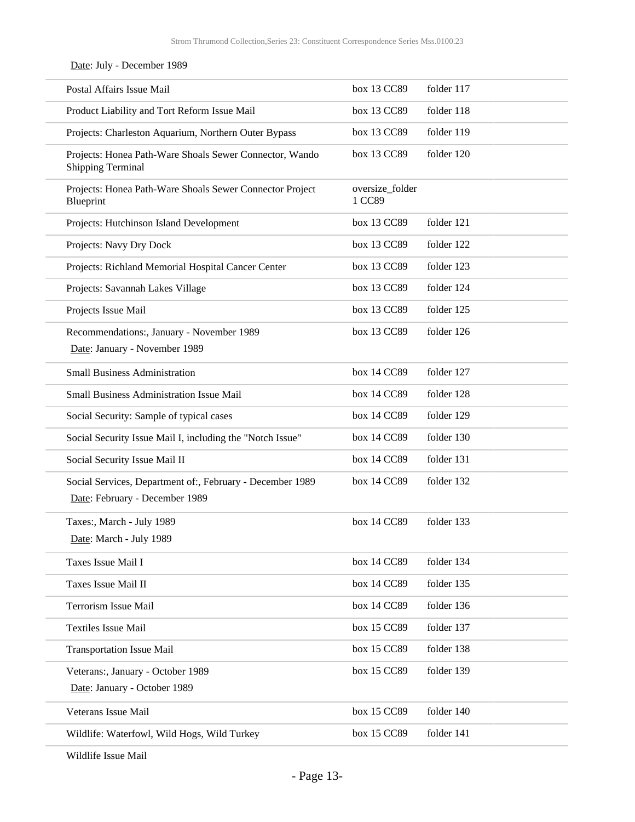Date: July - December 1989

| Postal Affairs Issue Mail                                                                   | box 13 CC89               | folder 117 |
|---------------------------------------------------------------------------------------------|---------------------------|------------|
| Product Liability and Tort Reform Issue Mail                                                | box 13 CC89               | folder 118 |
| Projects: Charleston Aquarium, Northern Outer Bypass                                        | box 13 CC89               | folder 119 |
| Projects: Honea Path-Ware Shoals Sewer Connector, Wando<br><b>Shipping Terminal</b>         | box 13 CC89               | folder 120 |
| Projects: Honea Path-Ware Shoals Sewer Connector Project<br>Blueprint                       | oversize_folder<br>1 CC89 |            |
| Projects: Hutchinson Island Development                                                     | box 13 CC89               | folder 121 |
| Projects: Navy Dry Dock                                                                     | box 13 CC89               | folder 122 |
| Projects: Richland Memorial Hospital Cancer Center                                          | box 13 CC89               | folder 123 |
| Projects: Savannah Lakes Village                                                            | box 13 CC89               | folder 124 |
| Projects Issue Mail                                                                         | box 13 CC89               | folder 125 |
| Recommendations:, January - November 1989<br>Date: January - November 1989                  | box 13 CC89               | folder 126 |
| <b>Small Business Administration</b>                                                        | box 14 CC89               | folder 127 |
| <b>Small Business Administration Issue Mail</b>                                             | box 14 CC89               | folder 128 |
| Social Security: Sample of typical cases                                                    | box 14 CC89               | folder 129 |
| Social Security Issue Mail I, including the "Notch Issue"                                   | box 14 CC89               | folder 130 |
| Social Security Issue Mail II                                                               | box 14 CC89               | folder 131 |
| Social Services, Department of:, February - December 1989<br>Date: February - December 1989 | box 14 CC89               | folder 132 |
| Taxes:, March - July 1989<br>Date: March - July 1989                                        | box 14 CC89               | folder 133 |
| Taxes Issue Mail I                                                                          | box 14 CC89               | folder 134 |
| Taxes Issue Mail II                                                                         | box 14 CC89               | folder 135 |
| Terrorism Issue Mail                                                                        | box 14 CC89               | folder 136 |
| <b>Textiles Issue Mail</b>                                                                  | box 15 CC89               | folder 137 |
| <b>Transportation Issue Mail</b>                                                            | box 15 CC89               | folder 138 |
| Veterans:, January - October 1989<br>Date: January - October 1989                           | box 15 CC89               | folder 139 |
| Veterans Issue Mail                                                                         | box 15 CC89               | folder 140 |
| Wildlife: Waterfowl, Wild Hogs, Wild Turkey                                                 | box 15 CC89               | folder 141 |
|                                                                                             |                           |            |

Wildlife Issue Mail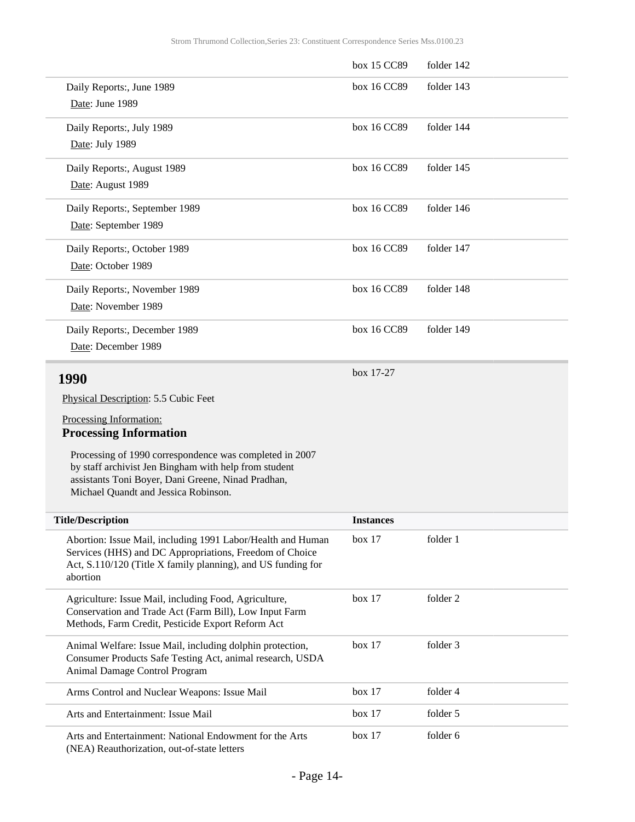<span id="page-13-0"></span>

|                                                                                                                        | box 15 CC89      | folder 142 |
|------------------------------------------------------------------------------------------------------------------------|------------------|------------|
| Daily Reports:, June 1989                                                                                              | box 16 CC89      | folder 143 |
| Date: June 1989                                                                                                        |                  |            |
| Daily Reports:, July 1989                                                                                              | box 16 CC89      | folder 144 |
| Date: July 1989                                                                                                        |                  |            |
| Daily Reports:, August 1989                                                                                            | box 16 CC89      | folder 145 |
| Date: August 1989                                                                                                      |                  |            |
| Daily Reports:, September 1989                                                                                         | box 16 CC89      | folder 146 |
| Date: September 1989                                                                                                   |                  |            |
| Daily Reports:, October 1989                                                                                           | box 16 CC89      | folder 147 |
| Date: October 1989                                                                                                     |                  |            |
| Daily Reports:, November 1989                                                                                          | box 16 CC89      | folder 148 |
| Date: November 1989                                                                                                    |                  |            |
| Daily Reports:, December 1989                                                                                          | box 16 CC89      | folder 149 |
| Date: December 1989                                                                                                    |                  |            |
| 1990                                                                                                                   | box 17-27        |            |
| Physical Description: 5.5 Cubic Feet                                                                                   |                  |            |
| Processing Information:                                                                                                |                  |            |
| <b>Processing Information</b>                                                                                          |                  |            |
| Processing of 1990 correspondence was completed in 2007                                                                |                  |            |
| by staff archivist Jen Bingham with help from student                                                                  |                  |            |
| assistants Toni Boyer, Dani Greene, Ninad Pradhan,<br>Michael Quandt and Jessica Robinson.                             |                  |            |
| <b>Title/Description</b>                                                                                               | <b>Instances</b> |            |
|                                                                                                                        |                  |            |
| Abortion: Issue Mail, including 1991 Labor/Health and Human<br>Services (HHS) and DC Appropriations, Freedom of Choice | box 17           | folder 1   |
| Act, S.110/120 (Title X family planning), and US funding for                                                           |                  |            |
| abortion                                                                                                               |                  |            |
| Agriculture: Issue Mail, including Food, Agriculture,                                                                  | box 17           | folder 2   |
| Conservation and Trade Act (Farm Bill), Low Input Farm<br>Methods, Farm Credit, Pesticide Export Reform Act            |                  |            |
| Animal Welfare: Issue Mail, including dolphin protection,                                                              | box 17           | folder 3   |
| Consumer Products Safe Testing Act, animal research, USDA<br>Animal Damage Control Program                             |                  |            |
| Arms Control and Nuclear Weapons: Issue Mail                                                                           | box 17           | folder 4   |
| Arts and Entertainment: Issue Mail                                                                                     | box 17           | folder 5   |
|                                                                                                                        |                  |            |

Arts and Entertainment: National Endowment for the Arts (NEA) Reauthorization, out-of-state letters box 17 folder 6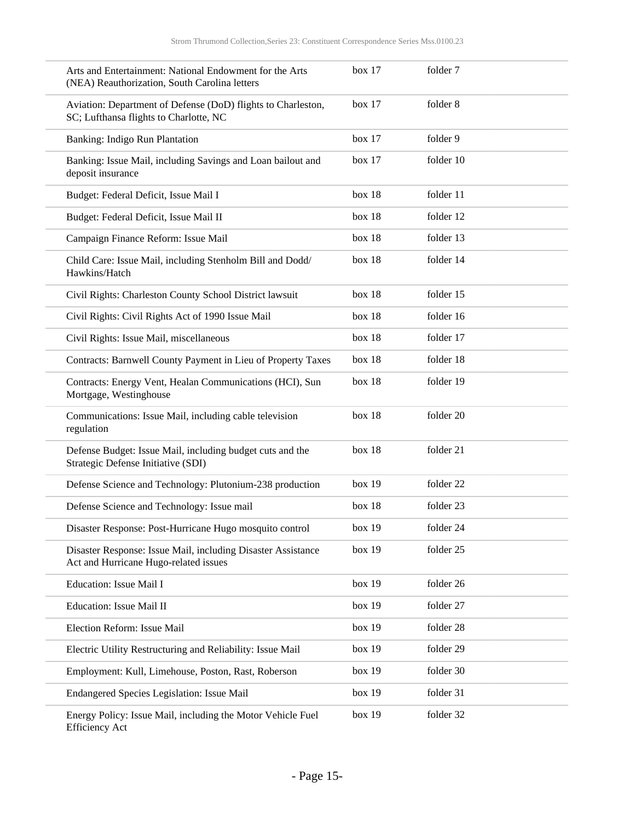| Arts and Entertainment: National Endowment for the Arts<br>(NEA) Reauthorization, South Carolina letters | box 17 | folder 7  |
|----------------------------------------------------------------------------------------------------------|--------|-----------|
| Aviation: Department of Defense (DoD) flights to Charleston,<br>SC; Lufthansa flights to Charlotte, NC   | box 17 | folder 8  |
| Banking: Indigo Run Plantation                                                                           | box 17 | folder 9  |
| Banking: Issue Mail, including Savings and Loan bailout and<br>deposit insurance                         | box 17 | folder 10 |
| Budget: Federal Deficit, Issue Mail I                                                                    | box 18 | folder 11 |
| Budget: Federal Deficit, Issue Mail II                                                                   | box 18 | folder 12 |
| Campaign Finance Reform: Issue Mail                                                                      | box 18 | folder 13 |
| Child Care: Issue Mail, including Stenholm Bill and Dodd/<br>Hawkins/Hatch                               | box 18 | folder 14 |
| Civil Rights: Charleston County School District lawsuit                                                  | box 18 | folder 15 |
| Civil Rights: Civil Rights Act of 1990 Issue Mail                                                        | box 18 | folder 16 |
| Civil Rights: Issue Mail, miscellaneous                                                                  | box 18 | folder 17 |
| Contracts: Barnwell County Payment in Lieu of Property Taxes                                             | box 18 | folder 18 |
| Contracts: Energy Vent, Healan Communications (HCI), Sun<br>Mortgage, Westinghouse                       | box 18 | folder 19 |
| Communications: Issue Mail, including cable television<br>regulation                                     | box 18 | folder 20 |
| Defense Budget: Issue Mail, including budget cuts and the<br>Strategic Defense Initiative (SDI)          | box 18 | folder 21 |
| Defense Science and Technology: Plutonium-238 production                                                 | box 19 | folder 22 |
| Defense Science and Technology: Issue mail                                                               | box 18 | folder 23 |
| Disaster Response: Post-Hurricane Hugo mosquito control                                                  | box 19 | folder 24 |
| Disaster Response: Issue Mail, including Disaster Assistance<br>Act and Hurricane Hugo-related issues    | box 19 | folder 25 |
| Education: Issue Mail I                                                                                  | box 19 | folder 26 |
| Education: Issue Mail II                                                                                 | box 19 | folder 27 |
| Election Reform: Issue Mail                                                                              | box 19 | folder 28 |
| Electric Utility Restructuring and Reliability: Issue Mail                                               | box 19 | folder 29 |
| Employment: Kull, Limehouse, Poston, Rast, Roberson                                                      | box 19 | folder 30 |
| Endangered Species Legislation: Issue Mail                                                               | box 19 | folder 31 |
| Energy Policy: Issue Mail, including the Motor Vehicle Fuel<br><b>Efficiency Act</b>                     | box 19 | folder 32 |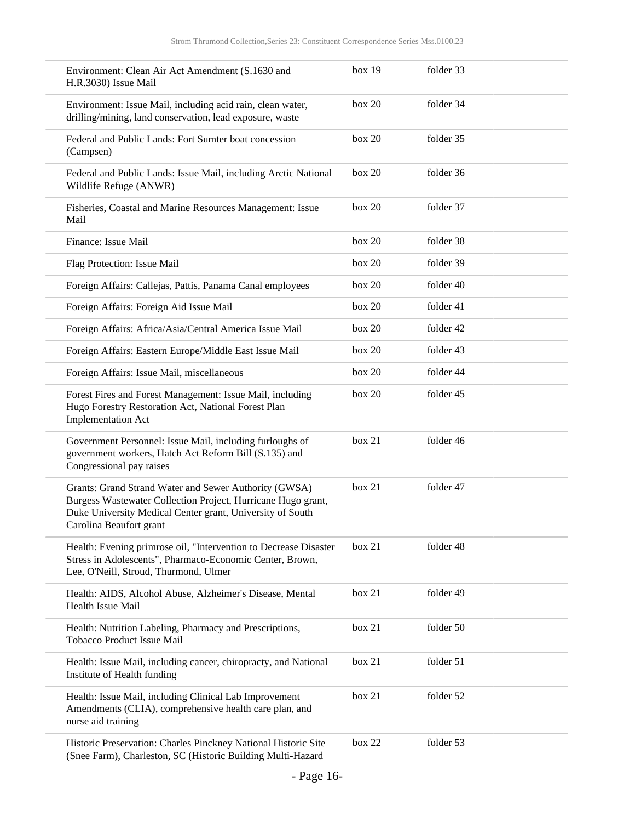| Environment: Clean Air Act Amendment (S.1630 and<br>H.R.3030) Issue Mail                                                                                                                                      | box 19 | folder 33 |
|---------------------------------------------------------------------------------------------------------------------------------------------------------------------------------------------------------------|--------|-----------|
| Environment: Issue Mail, including acid rain, clean water,<br>drilling/mining, land conservation, lead exposure, waste                                                                                        | box 20 | folder 34 |
| Federal and Public Lands: Fort Sumter boat concession<br>(Campsen)                                                                                                                                            | box 20 | folder 35 |
| Federal and Public Lands: Issue Mail, including Arctic National<br>Wildlife Refuge (ANWR)                                                                                                                     | box 20 | folder 36 |
| Fisheries, Coastal and Marine Resources Management: Issue<br>Mail                                                                                                                                             | box 20 | folder 37 |
| Finance: Issue Mail                                                                                                                                                                                           | box 20 | folder 38 |
| Flag Protection: Issue Mail                                                                                                                                                                                   | box 20 | folder 39 |
| Foreign Affairs: Callejas, Pattis, Panama Canal employees                                                                                                                                                     | box 20 | folder 40 |
| Foreign Affairs: Foreign Aid Issue Mail                                                                                                                                                                       | box 20 | folder 41 |
| Foreign Affairs: Africa/Asia/Central America Issue Mail                                                                                                                                                       | box 20 | folder 42 |
| Foreign Affairs: Eastern Europe/Middle East Issue Mail                                                                                                                                                        | box 20 | folder 43 |
| Foreign Affairs: Issue Mail, miscellaneous                                                                                                                                                                    | box 20 | folder 44 |
| Forest Fires and Forest Management: Issue Mail, including<br>Hugo Forestry Restoration Act, National Forest Plan<br><b>Implementation Act</b>                                                                 | box 20 | folder 45 |
| Government Personnel: Issue Mail, including furloughs of<br>government workers, Hatch Act Reform Bill (S.135) and<br>Congressional pay raises                                                                 | box 21 | folder 46 |
| Grants: Grand Strand Water and Sewer Authority (GWSA)<br>Burgess Wastewater Collection Project, Hurricane Hugo grant,<br>Duke University Medical Center grant, University of South<br>Carolina Beaufort grant | box 21 | folder 47 |
| Health: Evening primrose oil, "Intervention to Decrease Disaster<br>Stress in Adolescents", Pharmaco-Economic Center, Brown,<br>Lee, O'Neill, Stroud, Thurmond, Ulmer                                         | box 21 | folder 48 |
| Health: AIDS, Alcohol Abuse, Alzheimer's Disease, Mental<br>Health Issue Mail                                                                                                                                 | box 21 | folder 49 |
| Health: Nutrition Labeling, Pharmacy and Prescriptions,<br>Tobacco Product Issue Mail                                                                                                                         | box 21 | folder 50 |
| Health: Issue Mail, including cancer, chiropracty, and National<br>Institute of Health funding                                                                                                                | box 21 | folder 51 |
| Health: Issue Mail, including Clinical Lab Improvement<br>Amendments (CLIA), comprehensive health care plan, and<br>nurse aid training                                                                        | box 21 | folder 52 |
| Historic Preservation: Charles Pinckney National Historic Site<br>(Snee Farm), Charleston, SC (Historic Building Multi-Hazard                                                                                 | box 22 | folder 53 |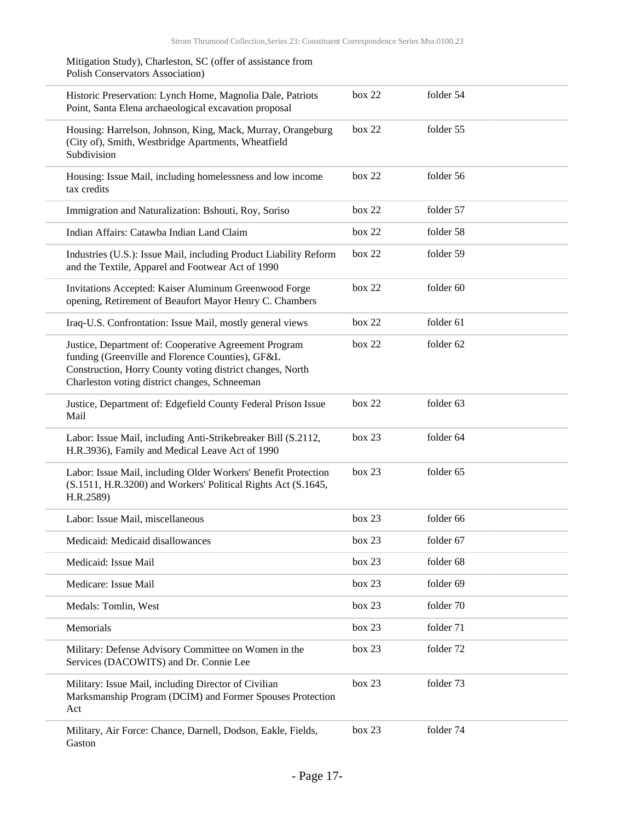| Mitigation Study), Charleston, SC (offer of assistance from<br><b>Polish Conservators Association</b> )                                                                                                                 |        |           |  |
|-------------------------------------------------------------------------------------------------------------------------------------------------------------------------------------------------------------------------|--------|-----------|--|
| Historic Preservation: Lynch Home, Magnolia Dale, Patriots<br>Point, Santa Elena archaeological excavation proposal                                                                                                     | box 22 | folder 54 |  |
| Housing: Harrelson, Johnson, King, Mack, Murray, Orangeburg<br>(City of), Smith, Westbridge Apartments, Wheatfield<br>Subdivision                                                                                       | box 22 | folder 55 |  |
| Housing: Issue Mail, including homelessness and low income<br>tax credits                                                                                                                                               | box 22 | folder 56 |  |
| Immigration and Naturalization: Bshouti, Roy, Soriso                                                                                                                                                                    | box 22 | folder 57 |  |
| Indian Affairs: Catawba Indian Land Claim                                                                                                                                                                               | box 22 | folder 58 |  |
| Industries (U.S.): Issue Mail, including Product Liability Reform<br>and the Textile, Apparel and Footwear Act of 1990                                                                                                  | box 22 | folder 59 |  |
| Invitations Accepted: Kaiser Aluminum Greenwood Forge<br>opening, Retirement of Beaufort Mayor Henry C. Chambers                                                                                                        | box 22 | folder 60 |  |
| Iraq-U.S. Confrontation: Issue Mail, mostly general views                                                                                                                                                               | box 22 | folder 61 |  |
| Justice, Department of: Cooperative Agreement Program<br>funding (Greenville and Florence Counties), GF&L<br>Construction, Horry County voting district changes, North<br>Charleston voting district changes, Schneeman | box 22 | folder 62 |  |
| Justice, Department of: Edgefield County Federal Prison Issue<br>Mail                                                                                                                                                   | box 22 | folder 63 |  |
| Labor: Issue Mail, including Anti-Strikebreaker Bill (S.2112,<br>H.R.3936), Family and Medical Leave Act of 1990                                                                                                        | box 23 | folder 64 |  |
| Labor: Issue Mail, including Older Workers' Benefit Protection<br>(S.1511, H.R.3200) and Workers' Political Rights Act (S.1645,<br>H.R.2589)                                                                            | box 23 | folder 65 |  |
| Labor: Issue Mail, miscellaneous                                                                                                                                                                                        | box 23 | folder 66 |  |
| Medicaid: Medicaid disallowances                                                                                                                                                                                        | box 23 | folder 67 |  |
| Medicaid: Issue Mail                                                                                                                                                                                                    | box 23 | folder 68 |  |
| Medicare: Issue Mail                                                                                                                                                                                                    | box 23 | folder 69 |  |
| Medals: Tomlin, West                                                                                                                                                                                                    | box 23 | folder 70 |  |
| Memorials                                                                                                                                                                                                               | box 23 | folder 71 |  |
| Military: Defense Advisory Committee on Women in the<br>Services (DACOWITS) and Dr. Connie Lee                                                                                                                          | box 23 | folder 72 |  |
| Military: Issue Mail, including Director of Civilian<br>Marksmanship Program (DCIM) and Former Spouses Protection<br>Act                                                                                                | box 23 | folder 73 |  |
| Military, Air Force: Chance, Darnell, Dodson, Eakle, Fields,<br>Gaston                                                                                                                                                  | box 23 | folder 74 |  |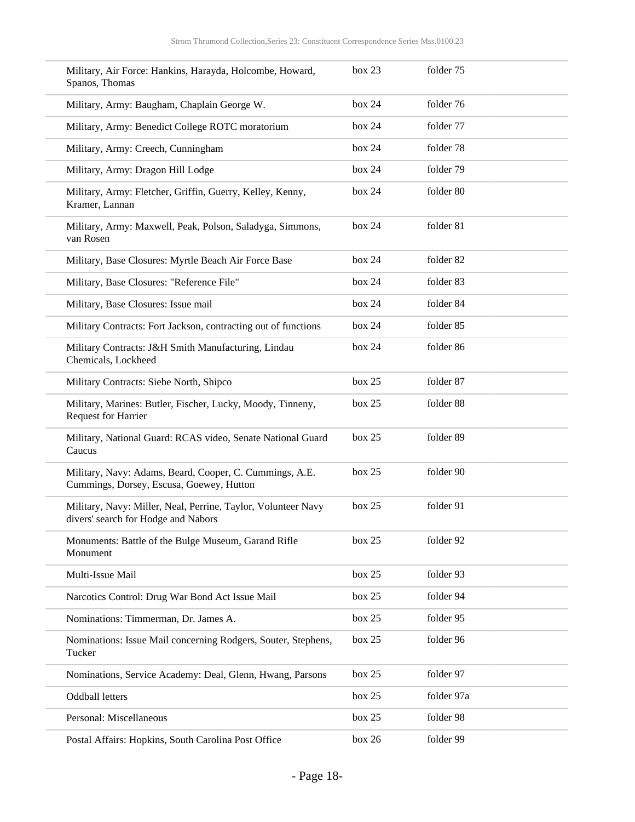| Military, Air Force: Hankins, Harayda, Holcombe, Howard,<br>Spanos, Thomas                           | box 23 | folder 75  |
|------------------------------------------------------------------------------------------------------|--------|------------|
| Military, Army: Baugham, Chaplain George W.                                                          | box 24 | folder 76  |
| Military, Army: Benedict College ROTC moratorium                                                     | box 24 | folder 77  |
| Military, Army: Creech, Cunningham                                                                   | box 24 | folder 78  |
| Military, Army: Dragon Hill Lodge                                                                    | box 24 | folder 79  |
| Military, Army: Fletcher, Griffin, Guerry, Kelley, Kenny,<br>Kramer, Lannan                          | box 24 | folder 80  |
| Military, Army: Maxwell, Peak, Polson, Saladyga, Simmons,<br>van Rosen                               | box 24 | folder 81  |
| Military, Base Closures: Myrtle Beach Air Force Base                                                 | box 24 | folder 82  |
| Military, Base Closures: "Reference File"                                                            | box 24 | folder 83  |
| Military, Base Closures: Issue mail                                                                  | box 24 | folder 84  |
| Military Contracts: Fort Jackson, contracting out of functions                                       | box 24 | folder 85  |
| Military Contracts: J&H Smith Manufacturing, Lindau<br>Chemicals, Lockheed                           | box 24 | folder 86  |
| Military Contracts: Siebe North, Shipco                                                              | box 25 | folder 87  |
| Military, Marines: Butler, Fischer, Lucky, Moody, Tinneny,<br><b>Request for Harrier</b>             | box 25 | folder 88  |
| Military, National Guard: RCAS video, Senate National Guard<br>Caucus                                | box 25 | folder 89  |
| Military, Navy: Adams, Beard, Cooper, C. Cummings, A.E.<br>Cummings, Dorsey, Escusa, Goewey, Hutton  | box 25 | folder 90  |
| Military, Navy: Miller, Neal, Perrine, Taylor, Volunteer Navy<br>divers' search for Hodge and Nabors | box 25 | folder 91  |
| Monuments: Battle of the Bulge Museum, Garand Rifle<br>Monument                                      | box 25 | folder 92  |
| Multi-Issue Mail                                                                                     | box 25 | folder 93  |
| Narcotics Control: Drug War Bond Act Issue Mail                                                      | box 25 | folder 94  |
| Nominations: Timmerman, Dr. James A.                                                                 | box 25 | folder 95  |
| Nominations: Issue Mail concerning Rodgers, Souter, Stephens,<br>Tucker                              | box 25 | folder 96  |
| Nominations, Service Academy: Deal, Glenn, Hwang, Parsons                                            | box 25 | folder 97  |
| Oddball letters                                                                                      | box 25 | folder 97a |
| Personal: Miscellaneous                                                                              | box 25 | folder 98  |
| Postal Affairs: Hopkins, South Carolina Post Office                                                  | box 26 | folder 99  |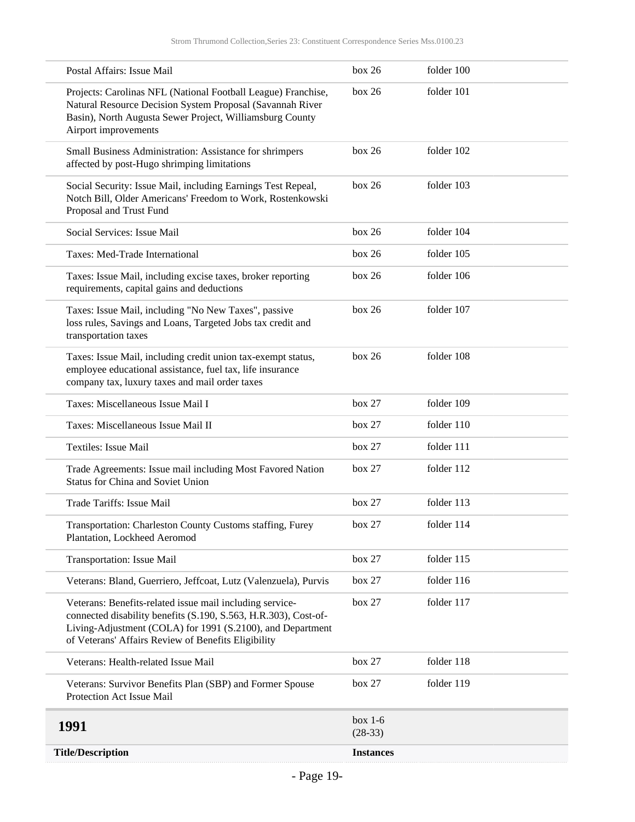<span id="page-18-0"></span>

| Postal Affairs: Issue Mail                                                                                                                                                                                                                       | box 26                 | folder 100 |
|--------------------------------------------------------------------------------------------------------------------------------------------------------------------------------------------------------------------------------------------------|------------------------|------------|
| Projects: Carolinas NFL (National Football League) Franchise,<br>Natural Resource Decision System Proposal (Savannah River<br>Basin), North Augusta Sewer Project, Williamsburg County<br>Airport improvements                                   | box 26                 | folder 101 |
| Small Business Administration: Assistance for shrimpers<br>affected by post-Hugo shrimping limitations                                                                                                                                           | box 26                 | folder 102 |
| Social Security: Issue Mail, including Earnings Test Repeal,<br>Notch Bill, Older Americans' Freedom to Work, Rostenkowski<br>Proposal and Trust Fund                                                                                            | box 26                 | folder 103 |
| Social Services: Issue Mail                                                                                                                                                                                                                      | box 26                 | folder 104 |
| Taxes: Med-Trade International                                                                                                                                                                                                                   | box 26                 | folder 105 |
| Taxes: Issue Mail, including excise taxes, broker reporting<br>requirements, capital gains and deductions                                                                                                                                        | box 26                 | folder 106 |
| Taxes: Issue Mail, including "No New Taxes", passive<br>loss rules, Savings and Loans, Targeted Jobs tax credit and<br>transportation taxes                                                                                                      | box 26                 | folder 107 |
| Taxes: Issue Mail, including credit union tax-exempt status,<br>employee educational assistance, fuel tax, life insurance<br>company tax, luxury taxes and mail order taxes                                                                      | box 26                 | folder 108 |
| Taxes: Miscellaneous Issue Mail I                                                                                                                                                                                                                | box 27                 | folder 109 |
| Taxes: Miscellaneous Issue Mail II                                                                                                                                                                                                               | box 27                 | folder 110 |
| Textiles: Issue Mail                                                                                                                                                                                                                             | box 27                 | folder 111 |
| Trade Agreements: Issue mail including Most Favored Nation<br><b>Status for China and Soviet Union</b>                                                                                                                                           | box 27                 | folder 112 |
| Trade Tariffs: Issue Mail                                                                                                                                                                                                                        | box 27                 | folder 113 |
| Transportation: Charleston County Customs staffing, Furey<br>Plantation, Lockheed Aeromod                                                                                                                                                        | box 27                 | folder 114 |
| Transportation: Issue Mail                                                                                                                                                                                                                       | box 27                 | folder 115 |
| Veterans: Bland, Guerriero, Jeffcoat, Lutz (Valenzuela), Purvis                                                                                                                                                                                  | box 27                 | folder 116 |
| Veterans: Benefits-related issue mail including service-<br>connected disability benefits (S.190, S.563, H.R.303), Cost-of-<br>Living-Adjustment (COLA) for 1991 (S.2100), and Department<br>of Veterans' Affairs Review of Benefits Eligibility | box 27                 | folder 117 |
| Veterans: Health-related Issue Mail                                                                                                                                                                                                              | box 27                 | folder 118 |
| Veterans: Survivor Benefits Plan (SBP) and Former Spouse<br>Protection Act Issue Mail                                                                                                                                                            | box 27                 | folder 119 |
| 1991                                                                                                                                                                                                                                             | box $1-6$<br>$(28-33)$ |            |
| <b>Title/Description</b>                                                                                                                                                                                                                         | <b>Instances</b>       |            |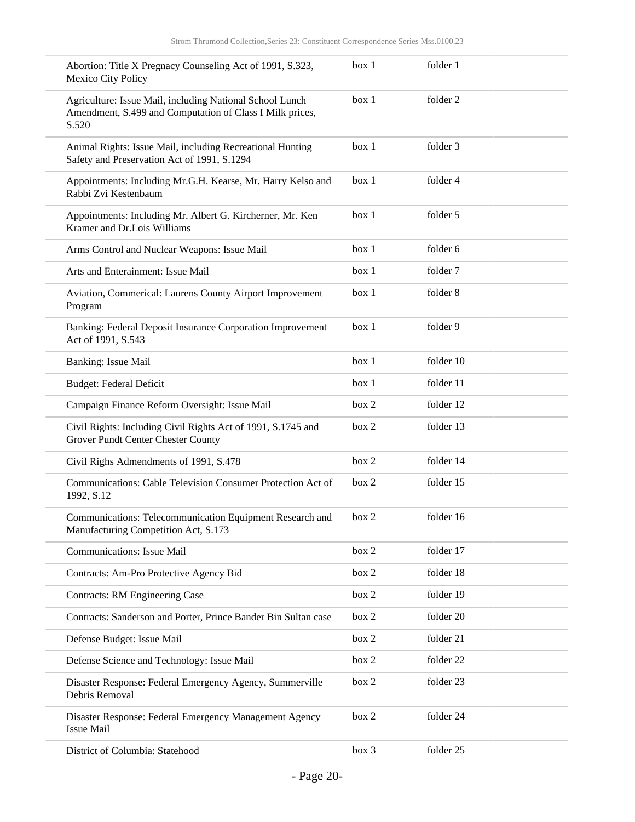| Abortion: Title X Pregnacy Counseling Act of 1991, S.323,<br>Mexico City Policy                                               | box 1 | folder 1  |
|-------------------------------------------------------------------------------------------------------------------------------|-------|-----------|
| Agriculture: Issue Mail, including National School Lunch<br>Amendment, S.499 and Computation of Class I Milk prices,<br>S.520 | box 1 | folder 2  |
| Animal Rights: Issue Mail, including Recreational Hunting<br>Safety and Preservation Act of 1991, S.1294                      | box 1 | folder 3  |
| Appointments: Including Mr.G.H. Kearse, Mr. Harry Kelso and<br>Rabbi Zvi Kestenbaum                                           | box 1 | folder 4  |
| Appointments: Including Mr. Albert G. Kircherner, Mr. Ken<br>Kramer and Dr.Lois Williams                                      | box 1 | folder 5  |
| Arms Control and Nuclear Weapons: Issue Mail                                                                                  | box 1 | folder 6  |
| Arts and Enterainment: Issue Mail                                                                                             | box 1 | folder 7  |
| Aviation, Commerical: Laurens County Airport Improvement<br>Program                                                           | box 1 | folder 8  |
| Banking: Federal Deposit Insurance Corporation Improvement<br>Act of 1991, S.543                                              | box 1 | folder 9  |
| Banking: Issue Mail                                                                                                           | box 1 | folder 10 |
| <b>Budget: Federal Deficit</b>                                                                                                | box 1 | folder 11 |
| Campaign Finance Reform Oversight: Issue Mail                                                                                 | box 2 | folder 12 |
| Civil Rights: Including Civil Rights Act of 1991, S.1745 and<br>Grover Pundt Center Chester County                            | box 2 | folder 13 |
| Civil Righs Admendments of 1991, S.478                                                                                        | box 2 | folder 14 |
| Communications: Cable Television Consumer Protection Act of<br>1992, S.12                                                     | box 2 | folder 15 |
| Communications: Telecommunication Equipment Research and<br>Manufacturing Competition Act, S.173                              | box 2 | folder 16 |
| <b>Communications: Issue Mail</b>                                                                                             | box 2 | folder 17 |
| Contracts: Am-Pro Protective Agency Bid                                                                                       | box 2 | folder 18 |
| <b>Contracts: RM Engineering Case</b>                                                                                         | box 2 | folder 19 |
| Contracts: Sanderson and Porter, Prince Bander Bin Sultan case                                                                | box 2 | folder 20 |
| Defense Budget: Issue Mail                                                                                                    | box 2 | folder 21 |
| Defense Science and Technology: Issue Mail                                                                                    | box 2 | folder 22 |
| Disaster Response: Federal Emergency Agency, Summerville<br>Debris Removal                                                    | box 2 | folder 23 |
| Disaster Response: Federal Emergency Management Agency<br><b>Issue Mail</b>                                                   | box 2 | folder 24 |
| District of Columbia: Statehood                                                                                               | box 3 | folder 25 |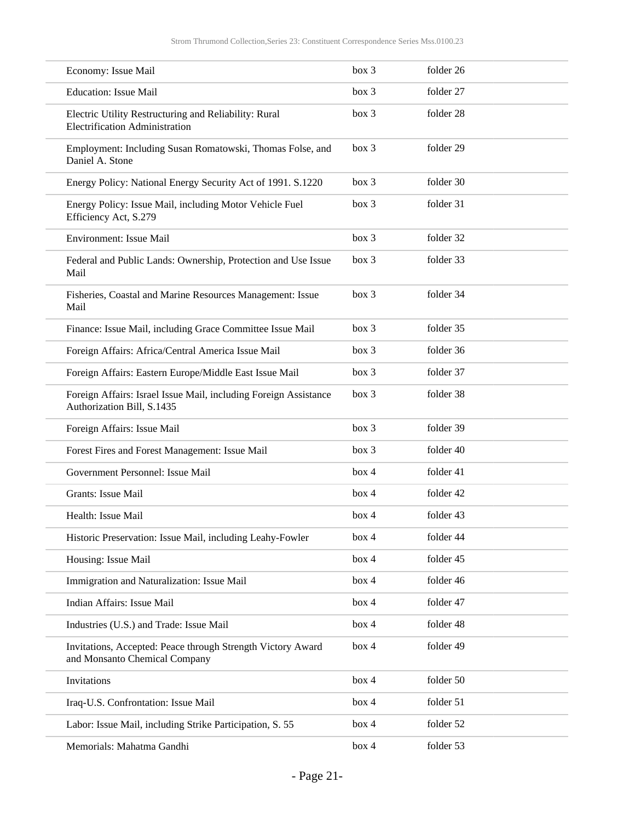| Economy: Issue Mail                                                                            | box 3 | folder 26 |  |
|------------------------------------------------------------------------------------------------|-------|-----------|--|
| <b>Education: Issue Mail</b>                                                                   | box 3 | folder 27 |  |
| Electric Utility Restructuring and Reliability: Rural<br><b>Electrification Administration</b> | box 3 | folder 28 |  |
| Employment: Including Susan Romatowski, Thomas Folse, and<br>Daniel A. Stone                   | box 3 | folder 29 |  |
| Energy Policy: National Energy Security Act of 1991. S.1220                                    | box 3 | folder 30 |  |
| Energy Policy: Issue Mail, including Motor Vehicle Fuel<br>Efficiency Act, S.279               | box 3 | folder 31 |  |
| Environment: Issue Mail                                                                        | box 3 | folder 32 |  |
| Federal and Public Lands: Ownership, Protection and Use Issue<br>Mail                          | box 3 | folder 33 |  |
| Fisheries, Coastal and Marine Resources Management: Issue<br>Mail                              | box 3 | folder 34 |  |
| Finance: Issue Mail, including Grace Committee Issue Mail                                      | box 3 | folder 35 |  |
| Foreign Affairs: Africa/Central America Issue Mail                                             | box 3 | folder 36 |  |
| Foreign Affairs: Eastern Europe/Middle East Issue Mail                                         | box 3 | folder 37 |  |
| Foreign Affairs: Israel Issue Mail, including Foreign Assistance<br>Authorization Bill, S.1435 | box 3 | folder 38 |  |
| Foreign Affairs: Issue Mail                                                                    | box 3 | folder 39 |  |
| Forest Fires and Forest Management: Issue Mail                                                 | box 3 | folder 40 |  |
| Government Personnel: Issue Mail                                                               | box 4 | folder 41 |  |
| <b>Grants: Issue Mail</b>                                                                      | box 4 | folder 42 |  |
| Health: Issue Mail                                                                             | box 4 | folder 43 |  |
| Historic Preservation: Issue Mail, including Leahy-Fowler                                      | box 4 | folder 44 |  |
| Housing: Issue Mail                                                                            | box 4 | folder 45 |  |
| Immigration and Naturalization: Issue Mail                                                     | box 4 | folder 46 |  |
| Indian Affairs: Issue Mail                                                                     | box 4 | folder 47 |  |
| Industries (U.S.) and Trade: Issue Mail                                                        | box 4 | folder 48 |  |
| Invitations, Accepted: Peace through Strength Victory Award<br>and Monsanto Chemical Company   | box 4 | folder 49 |  |
| Invitations                                                                                    | box 4 | folder 50 |  |
| Iraq-U.S. Confrontation: Issue Mail                                                            | box 4 | folder 51 |  |
| Labor: Issue Mail, including Strike Participation, S. 55                                       | box 4 | folder 52 |  |
| Memorials: Mahatma Gandhi                                                                      | box 4 | folder 53 |  |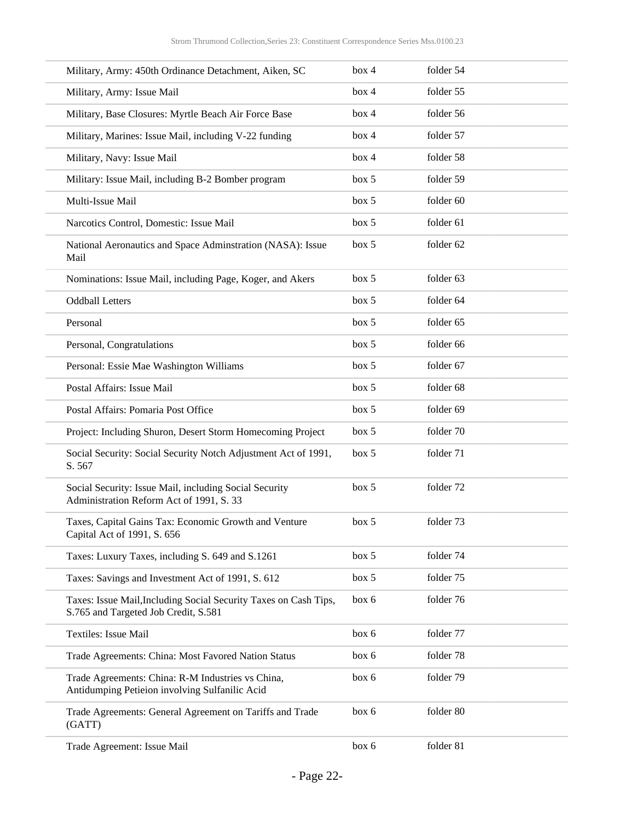| Military, Army: 450th Ordinance Detachment, Aiken, SC                                                    | box 4 | folder 54 |  |
|----------------------------------------------------------------------------------------------------------|-------|-----------|--|
| Military, Army: Issue Mail                                                                               | box 4 | folder 55 |  |
| Military, Base Closures: Myrtle Beach Air Force Base                                                     | box 4 | folder 56 |  |
| Military, Marines: Issue Mail, including V-22 funding                                                    | box 4 | folder 57 |  |
| Military, Navy: Issue Mail                                                                               | box 4 | folder 58 |  |
| Military: Issue Mail, including B-2 Bomber program                                                       | box 5 | folder 59 |  |
| Multi-Issue Mail                                                                                         | box 5 | folder 60 |  |
| Narcotics Control, Domestic: Issue Mail                                                                  | box 5 | folder 61 |  |
| National Aeronautics and Space Adminstration (NASA): Issue<br>Mail                                       | box 5 | folder 62 |  |
| Nominations: Issue Mail, including Page, Koger, and Akers                                                | box 5 | folder 63 |  |
| <b>Oddball Letters</b>                                                                                   | box 5 | folder 64 |  |
| Personal                                                                                                 | box 5 | folder 65 |  |
| Personal, Congratulations                                                                                | box 5 | folder 66 |  |
| Personal: Essie Mae Washington Williams                                                                  | box 5 | folder 67 |  |
| Postal Affairs: Issue Mail                                                                               | box 5 | folder 68 |  |
| Postal Affairs: Pomaria Post Office                                                                      | box 5 | folder 69 |  |
| Project: Including Shuron, Desert Storm Homecoming Project                                               | box 5 | folder 70 |  |
| Social Security: Social Security Notch Adjustment Act of 1991,<br>S. 567                                 | box 5 | folder 71 |  |
| Social Security: Issue Mail, including Social Security<br>Administration Reform Act of 1991, S. 33       | box 5 | folder 72 |  |
| Taxes, Capital Gains Tax: Economic Growth and Venture<br>Capital Act of 1991, S. 656                     | box~5 | folder 73 |  |
| Taxes: Luxury Taxes, including S. 649 and S.1261                                                         | box 5 | folder 74 |  |
| Taxes: Savings and Investment Act of 1991, S. 612                                                        | box 5 | folder 75 |  |
| Taxes: Issue Mail, Including Social Security Taxes on Cash Tips,<br>S.765 and Targeted Job Credit, S.581 | box 6 | folder 76 |  |
| Textiles: Issue Mail                                                                                     | box 6 | folder 77 |  |
| Trade Agreements: China: Most Favored Nation Status                                                      | box 6 | folder 78 |  |
| Trade Agreements: China: R-M Industries vs China,<br>Antidumping Petieion involving Sulfanilic Acid      | box 6 | folder 79 |  |
| Trade Agreements: General Agreement on Tariffs and Trade<br>(GATT)                                       | box 6 | folder 80 |  |
| Trade Agreement: Issue Mail                                                                              | box 6 | folder 81 |  |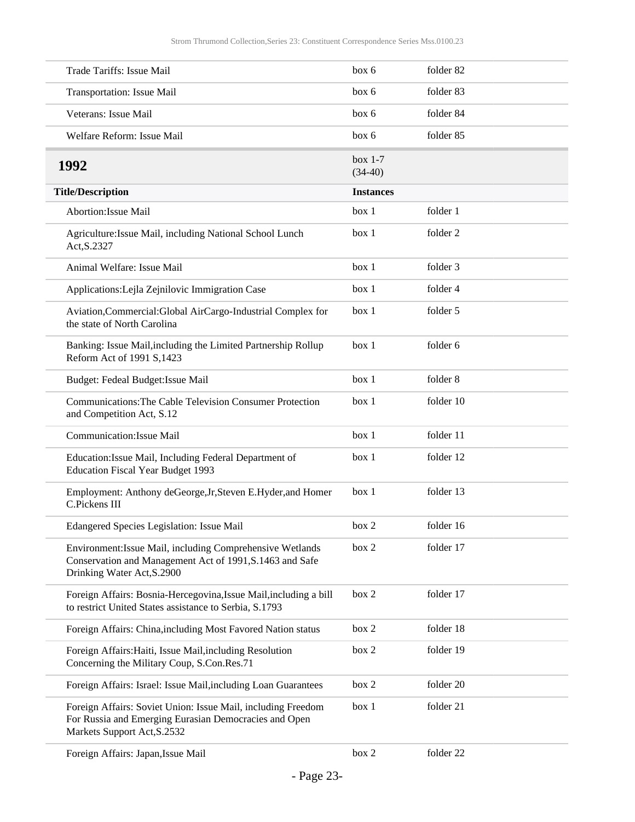<span id="page-22-0"></span>

| Trade Tariffs: Issue Mail                                                                                                                            | box 6                  | folder 82 |
|------------------------------------------------------------------------------------------------------------------------------------------------------|------------------------|-----------|
| Transportation: Issue Mail                                                                                                                           | box 6                  | folder 83 |
| Veterans: Issue Mail                                                                                                                                 | box 6                  | folder 84 |
| Welfare Reform: Issue Mail                                                                                                                           | box 6                  | folder 85 |
| 1992                                                                                                                                                 | box $1-7$<br>$(34-40)$ |           |
| <b>Title/Description</b>                                                                                                                             | <b>Instances</b>       |           |
| Abortion: Issue Mail                                                                                                                                 | box 1                  | folder 1  |
| Agriculture: Issue Mail, including National School Lunch<br>Act, S.2327                                                                              | box 1                  | folder 2  |
| Animal Welfare: Issue Mail                                                                                                                           | box 1                  | folder 3  |
| Applications: Lejla Zejnilovic Immigration Case                                                                                                      | box 1                  | folder 4  |
| Aviation, Commercial: Global AirCargo-Industrial Complex for<br>the state of North Carolina                                                          | box 1                  | folder 5  |
| Banking: Issue Mail, including the Limited Partnership Rollup<br>Reform Act of 1991 S, 1423                                                          | box 1                  | folder 6  |
| Budget: Fedeal Budget: Issue Mail                                                                                                                    | box 1                  | folder 8  |
| Communications: The Cable Television Consumer Protection<br>and Competition Act, S.12                                                                | box 1                  | folder 10 |
| Communication: Issue Mail                                                                                                                            | box 1                  | folder 11 |
| Education: Issue Mail, Including Federal Department of<br><b>Education Fiscal Year Budget 1993</b>                                                   | box 1                  | folder 12 |
| Employment: Anthony deGeorge, Jr, Steven E. Hyder, and Homer<br>C.Pickens III                                                                        | box 1                  | folder 13 |
| Edangered Species Legislation: Issue Mail                                                                                                            | box 2                  | folder 16 |
| Environment: Issue Mail, including Comprehensive Wetlands<br>Conservation and Management Act of 1991, S.1463 and Safe<br>Drinking Water Act, S.2900  | box 2                  | folder 17 |
| Foreign Affairs: Bosnia-Hercegovina, Issue Mail, including a bill<br>to restrict United States assistance to Serbia, S.1793                          | box 2                  | folder 17 |
| Foreign Affairs: China, including Most Favored Nation status                                                                                         | box 2                  | folder 18 |
| Foreign Affairs: Haiti, Issue Mail, including Resolution<br>Concerning the Military Coup, S.Con.Res.71                                               | box 2                  | folder 19 |
| Foreign Affairs: Israel: Issue Mail, including Loan Guarantees                                                                                       | box 2                  | folder 20 |
| Foreign Affairs: Soviet Union: Issue Mail, including Freedom<br>For Russia and Emerging Eurasian Democracies and Open<br>Markets Support Act, S.2532 | box 1                  | folder 21 |
| Foreign Affairs: Japan, Issue Mail                                                                                                                   | box 2                  | folder 22 |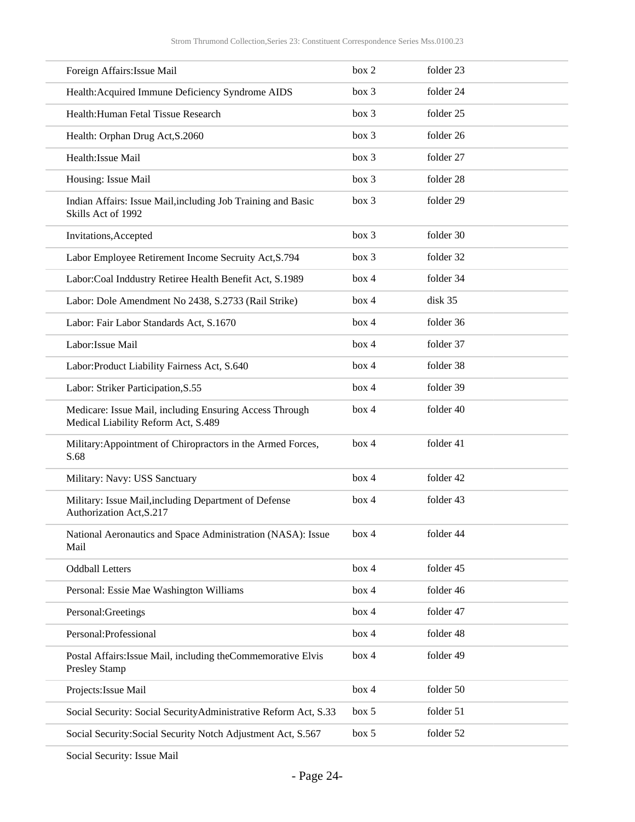| Foreign Affairs: Issue Mail                                                                    | box 2 | folder 23 |
|------------------------------------------------------------------------------------------------|-------|-----------|
| Health: Acquired Immune Deficiency Syndrome AIDS                                               | box 3 | folder 24 |
| Health: Human Fetal Tissue Research                                                            | box 3 | folder 25 |
| Health: Orphan Drug Act, S.2060                                                                | box 3 | folder 26 |
| Health: Issue Mail                                                                             | box 3 | folder 27 |
| Housing: Issue Mail                                                                            | box 3 | folder 28 |
| Indian Affairs: Issue Mail, including Job Training and Basic<br>Skills Act of 1992             | box 3 | folder 29 |
| Invitations, Accepted                                                                          | box 3 | folder 30 |
| Labor Employee Retirement Income Secruity Act, S.794                                           | box 3 | folder 32 |
| Labor:Coal Inddustry Retiree Health Benefit Act, S.1989                                        | box 4 | folder 34 |
| Labor: Dole Amendment No 2438, S.2733 (Rail Strike)                                            | box 4 | disk 35   |
| Labor: Fair Labor Standards Act, S.1670                                                        | box 4 | folder 36 |
| Labor: Issue Mail                                                                              | box 4 | folder 37 |
| Labor: Product Liability Fairness Act, S.640                                                   | box 4 | folder 38 |
| Labor: Striker Participation, S.55                                                             | box 4 | folder 39 |
| Medicare: Issue Mail, including Ensuring Access Through<br>Medical Liability Reform Act, S.489 | box 4 | folder 40 |
| Military: Appointment of Chiropractors in the Armed Forces,<br>S.68                            | box 4 | folder 41 |
| Military: Navy: USS Sanctuary                                                                  | box 4 | folder 42 |
| Military: Issue Mail, including Department of Defense<br>Authorization Act, S.217              | box 4 | folder 43 |
| National Aeronautics and Space Administration (NASA): Issue<br>Mail                            | box 4 | folder 44 |
| <b>Oddball Letters</b>                                                                         | box 4 | folder 45 |
| Personal: Essie Mae Washington Williams                                                        | box 4 | folder 46 |
| Personal:Greetings                                                                             | box 4 | folder 47 |
| Personal: Professional                                                                         | box 4 | folder 48 |
| Postal Affairs: Issue Mail, including the Commemorative Elvis                                  | box 4 | folder 49 |
| Presley Stamp                                                                                  |       |           |
| Projects: Issue Mail                                                                           | box 4 | folder 50 |
| Social Security: Social Security Administrative Reform Act, S.33                               | box 5 | folder 51 |

Social Security: Issue Mail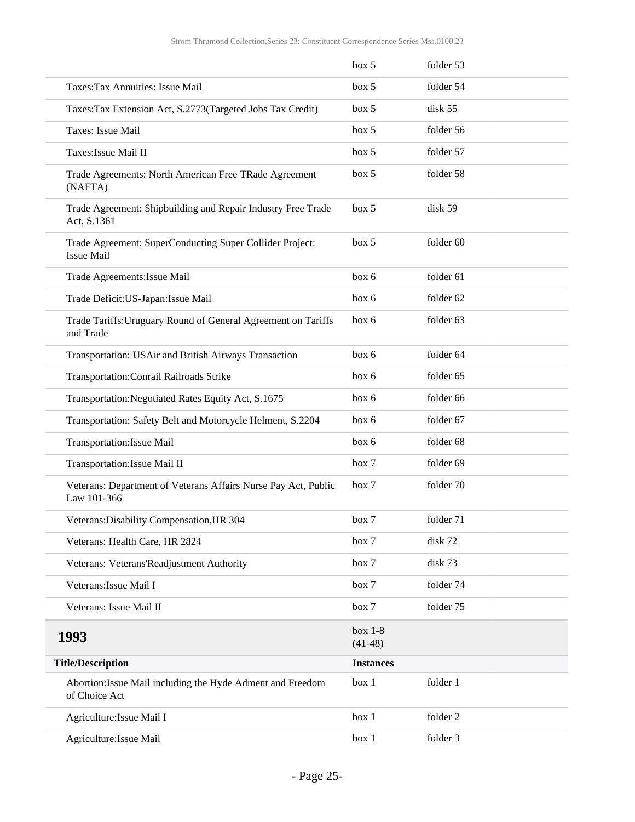<span id="page-24-0"></span>

|                                                                               | box 5                  | folder 53 |
|-------------------------------------------------------------------------------|------------------------|-----------|
| Taxes: Tax Annuities: Issue Mail                                              | box 5                  | folder 54 |
| Taxes: Tax Extension Act, S.2773(Targeted Jobs Tax Credit)                    | box 5                  | disk 55   |
| Taxes: Issue Mail                                                             | box 5                  | folder 56 |
| Taxes: Issue Mail II                                                          | box~5                  | folder 57 |
| Trade Agreements: North American Free TRade Agreement<br>(NAFTA)              | box~5                  | folder 58 |
| Trade Agreement: Shipbuilding and Repair Industry Free Trade<br>Act, S.1361   | box 5                  | disk 59   |
| Trade Agreement: SuperConducting Super Collider Project:<br><b>Issue Mail</b> | box 5                  | folder 60 |
| Trade Agreements: Issue Mail                                                  | box 6                  | folder 61 |
| Trade Deficit: US-Japan: Issue Mail                                           | box 6                  | folder 62 |
| Trade Tariffs: Uruguary Round of General Agreement on Tariffs<br>and Trade    | box 6                  | folder 63 |
| Transportation: USAir and British Airways Transaction                         | box 6                  | folder 64 |
| Transportation: Conrail Railroads Strike                                      | box 6                  | folder 65 |
| Transportation: Negotiated Rates Equity Act, S.1675                           | box 6                  | folder 66 |
| Transportation: Safety Belt and Motorcycle Helment, S.2204                    | box 6                  | folder 67 |
| Transportation: Issue Mail                                                    | box 6                  | folder 68 |
| Transportation: Issue Mail II                                                 | box 7                  | folder 69 |
| Veterans: Department of Veterans Affairs Nurse Pay Act, Public<br>Law 101-366 | box 7                  | folder 70 |
| Veterans: Disability Compensation, HR 304                                     | box 7                  | folder 71 |
| Veterans: Health Care, HR 2824                                                | box 7                  | disk 72   |
| Veterans: Veterans'Readjustment Authority                                     | box 7                  | disk 73   |
| Veterans: Issue Mail I                                                        | box 7                  | folder 74 |
| Veterans: Issue Mail II                                                       | box 7                  | folder 75 |
| 1993                                                                          | box $1-8$<br>$(41-48)$ |           |
| <b>Title/Description</b>                                                      | <b>Instances</b>       |           |
| Abortion: Issue Mail including the Hyde Adment and Freedom<br>of Choice Act   | box 1                  | folder 1  |
| Agriculture: Issue Mail I                                                     | box 1                  | folder 2  |
| Agriculture: Issue Mail                                                       | box 1                  | folder 3  |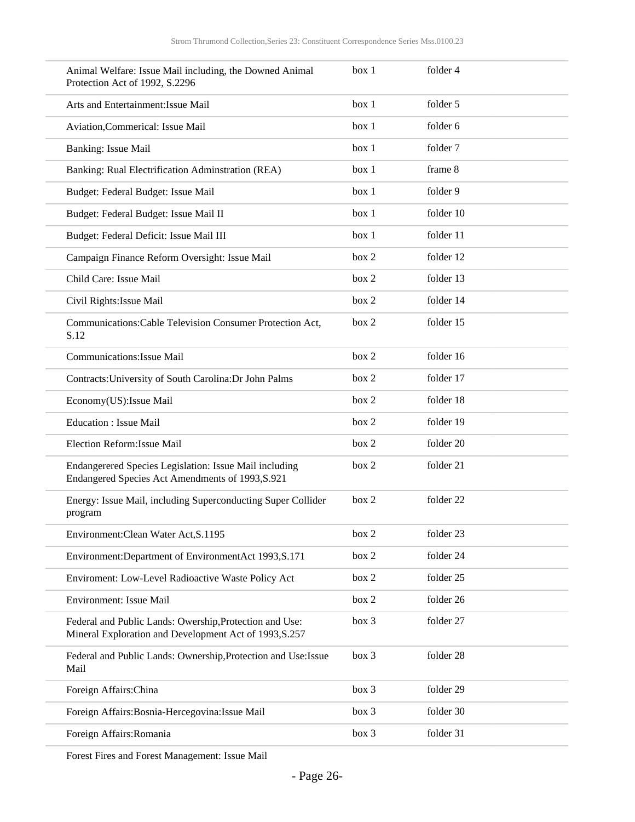| Animal Welfare: Issue Mail including, the Downed Animal<br>Protection Act of 1992, S.2296                         | box 1 | folder 4  |
|-------------------------------------------------------------------------------------------------------------------|-------|-----------|
| Arts and Entertainment: Issue Mail                                                                                | box 1 | folder 5  |
| Aviation, Commerical: Issue Mail                                                                                  | box 1 | folder 6  |
| <b>Banking: Issue Mail</b>                                                                                        | box 1 | folder 7  |
| Banking: Rual Electrification Adminstration (REA)                                                                 | box 1 | frame 8   |
| Budget: Federal Budget: Issue Mail                                                                                | box 1 | folder 9  |
| Budget: Federal Budget: Issue Mail II                                                                             | box 1 | folder 10 |
| Budget: Federal Deficit: Issue Mail III                                                                           | box 1 | folder 11 |
| Campaign Finance Reform Oversight: Issue Mail                                                                     | box 2 | folder 12 |
| Child Care: Issue Mail                                                                                            | box 2 | folder 13 |
| Civil Rights: Issue Mail                                                                                          | box 2 | folder 14 |
| Communications: Cable Television Consumer Protection Act,<br>S.12                                                 | box 2 | folder 15 |
| Communications: Issue Mail                                                                                        | box 2 | folder 16 |
| Contracts: University of South Carolina: Dr John Palms                                                            | box 2 | folder 17 |
| Economy(US): Issue Mail                                                                                           | box 2 | folder 18 |
| <b>Education : Issue Mail</b>                                                                                     | box 2 | folder 19 |
| Election Reform: Issue Mail                                                                                       | box 2 | folder 20 |
| Endangerered Species Legislation: Issue Mail including<br>Endangered Species Act Amendments of 1993, S.921        | box 2 | folder 21 |
| Energy: Issue Mail, including Superconducting Super Collider<br>program                                           | box 2 | folder 22 |
| Environment: Clean Water Act, S.1195                                                                              | box 2 | folder 23 |
| Environment: Department of EnvironmentAct 1993, S.171                                                             | box 2 | folder 24 |
| Enviroment: Low-Level Radioactive Waste Policy Act                                                                | box 2 | folder 25 |
| Environment: Issue Mail                                                                                           | box 2 | folder 26 |
| Federal and Public Lands: Owership, Protection and Use:<br>Mineral Exploration and Development Act of 1993, S.257 | box 3 | folder 27 |
| Federal and Public Lands: Ownership, Protection and Use: Issue<br>Mail                                            | box 3 | folder 28 |
| Foreign Affairs: China                                                                                            | box 3 | folder 29 |
| Foreign Affairs: Bosnia-Hercegovina: Issue Mail                                                                   | box 3 | folder 30 |
| Foreign Affairs: Romania                                                                                          | box 3 | folder 31 |

Forest Fires and Forest Management: Issue Mail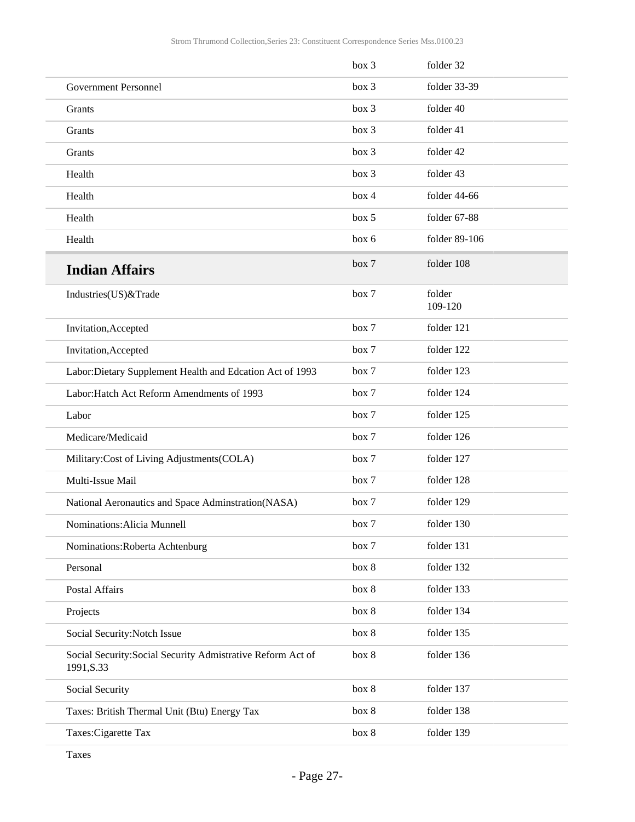|                                                                           | box 3 | folder 32         |
|---------------------------------------------------------------------------|-------|-------------------|
| <b>Government Personnel</b>                                               | box 3 | folder 33-39      |
| Grants                                                                    | box 3 | folder 40         |
| Grants                                                                    | box 3 | folder 41         |
| Grants                                                                    | box 3 | folder 42         |
| Health                                                                    | box 3 | folder 43         |
| Health                                                                    | box 4 | folder 44-66      |
| Health                                                                    | box 5 | folder 67-88      |
| Health                                                                    | box 6 | folder 89-106     |
| <b>Indian Affairs</b>                                                     | box 7 | folder 108        |
| Industries(US)&Trade                                                      | box 7 | folder<br>109-120 |
| Invitation, Accepted                                                      | box 7 | folder 121        |
| Invitation, Accepted                                                      | box 7 | folder 122        |
| Labor: Dietary Supplement Health and Edcation Act of 1993                 | box 7 | folder 123        |
| Labor: Hatch Act Reform Amendments of 1993                                | box 7 | folder 124        |
| Labor                                                                     | box 7 | folder 125        |
| Medicare/Medicaid                                                         | box 7 | folder 126        |
| Military:Cost of Living Adjustments(COLA)                                 | box 7 | folder 127        |
| Multi-Issue Mail                                                          | box 7 | folder 128        |
| National Aeronautics and Space Adminstration(NASA)                        | box 7 | folder 129        |
| Nominations: Alicia Munnell                                               | box 7 | folder 130        |
| Nominations: Roberta Achtenburg                                           | box 7 | folder 131        |
| Personal                                                                  | box 8 | folder 132        |
| Postal Affairs                                                            | box 8 | folder 133        |
| Projects                                                                  | box 8 | folder 134        |
| Social Security: Notch Issue                                              | box 8 | folder 135        |
| Social Security: Social Security Admistrative Reform Act of<br>1991, S.33 | box 8 | folder 136        |
| Social Security                                                           | box 8 | folder 137        |
| Taxes: British Thermal Unit (Btu) Energy Tax                              | box 8 | folder 138        |
| Taxes: Cigarette Tax                                                      | box 8 | folder 139        |

Taxes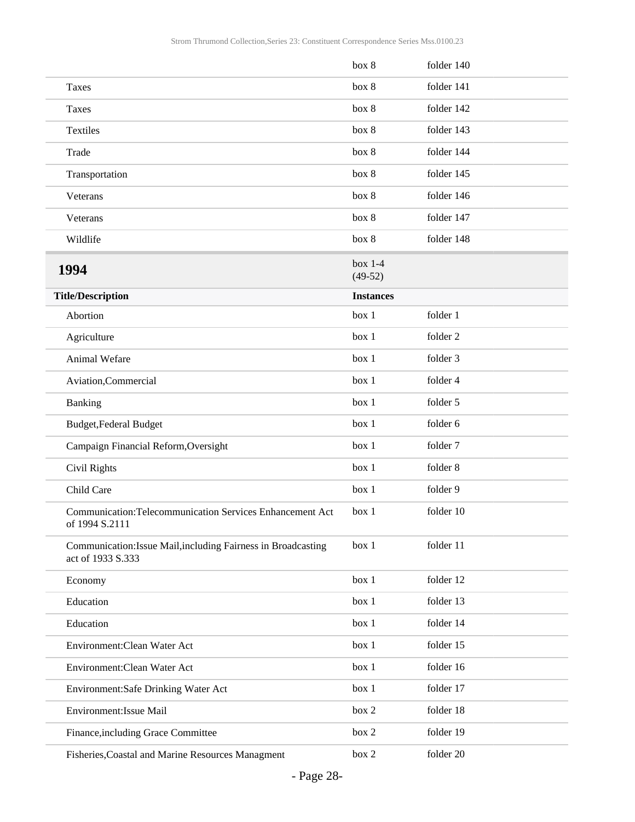<span id="page-27-0"></span>

|                                                                                    | box 8                  | folder 140 |
|------------------------------------------------------------------------------------|------------------------|------------|
| Taxes                                                                              | box 8                  | folder 141 |
| Taxes                                                                              | box 8                  | folder 142 |
| Textiles                                                                           | box 8                  | folder 143 |
| Trade                                                                              | box 8                  | folder 144 |
| Transportation                                                                     | box 8                  | folder 145 |
| Veterans                                                                           | box 8                  | folder 146 |
| Veterans                                                                           | box 8                  | folder 147 |
| Wildlife                                                                           | box 8                  | folder 148 |
| 1994                                                                               | $box 1-4$<br>$(49-52)$ |            |
| <b>Title/Description</b>                                                           | <b>Instances</b>       |            |
| Abortion                                                                           | box 1                  | folder 1   |
| Agriculture                                                                        | box 1                  | folder 2   |
| Animal Wefare                                                                      | box 1                  | folder 3   |
| Aviation, Commercial                                                               | box 1                  | folder 4   |
| Banking                                                                            | box 1                  | folder 5   |
| Budget, Federal Budget                                                             | box 1                  | folder 6   |
| Campaign Financial Reform, Oversight                                               | box 1                  | folder 7   |
| Civil Rights                                                                       | box 1                  | folder 8   |
| Child Care                                                                         | box 1                  | folder 9   |
| Communication:Telecommunication Services Enhancement Act<br>of 1994 S.2111         | box 1                  | folder 10  |
| Communication: Issue Mail, including Fairness in Broadcasting<br>act of 1933 S.333 | box 1                  | folder 11  |
| Economy                                                                            | box 1                  | folder 12  |
| Education                                                                          | box 1                  | folder 13  |
| Education                                                                          | box 1                  | folder 14  |
| Environment: Clean Water Act                                                       | box 1                  | folder 15  |
| Environment: Clean Water Act                                                       | box 1                  | folder 16  |
| Environment:Safe Drinking Water Act                                                | box 1                  | folder 17  |
| Environment: Issue Mail                                                            | box 2                  | folder 18  |
| Finance, including Grace Committee                                                 | box 2                  | folder 19  |
| Fisheries, Coastal and Marine Resources Managment                                  | box 2                  | folder 20  |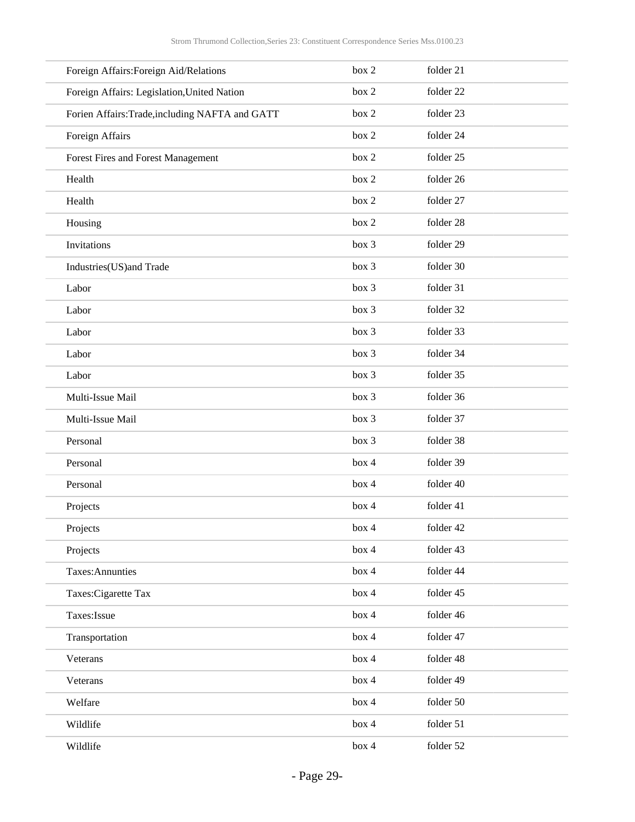| Foreign Affairs: Foreign Aid/Relations          | box 2 | folder 21 |
|-------------------------------------------------|-------|-----------|
| Foreign Affairs: Legislation, United Nation     | box 2 | folder 22 |
| Forien Affairs: Trade, including NAFTA and GATT | box 2 | folder 23 |
| Foreign Affairs                                 | box 2 | folder 24 |
| Forest Fires and Forest Management              | box 2 | folder 25 |
| Health                                          | box 2 | folder 26 |
| Health                                          | box 2 | folder 27 |
| Housing                                         | box 2 | folder 28 |
| Invitations                                     | box 3 | folder 29 |
| Industries(US)and Trade                         | box 3 | folder 30 |
| Labor                                           | box 3 | folder 31 |
| Labor                                           | box 3 | folder 32 |
| Labor                                           | box 3 | folder 33 |
| Labor                                           | box 3 | folder 34 |
| Labor                                           | box 3 | folder 35 |
| Multi-Issue Mail                                | box 3 | folder 36 |
| Multi-Issue Mail                                | box 3 | folder 37 |
| Personal                                        | box 3 | folder 38 |
| Personal                                        | box 4 | folder 39 |
| Personal                                        | box 4 | folder 40 |
| Projects                                        | box 4 | folder 41 |
| Projects                                        | box 4 | folder 42 |
| Projects                                        | box 4 | folder 43 |
| Taxes: Annunties                                | box 4 | folder 44 |
| Taxes: Cigarette Tax                            | box 4 | folder 45 |
| Taxes: Issue                                    | box 4 | folder 46 |
| Transportation                                  | box 4 | folder 47 |
| Veterans                                        | box 4 | folder 48 |
| Veterans                                        | box 4 | folder 49 |
| Welfare                                         | box 4 | folder 50 |
| Wildlife                                        | box 4 | folder 51 |
| Wildlife                                        | box 4 | folder 52 |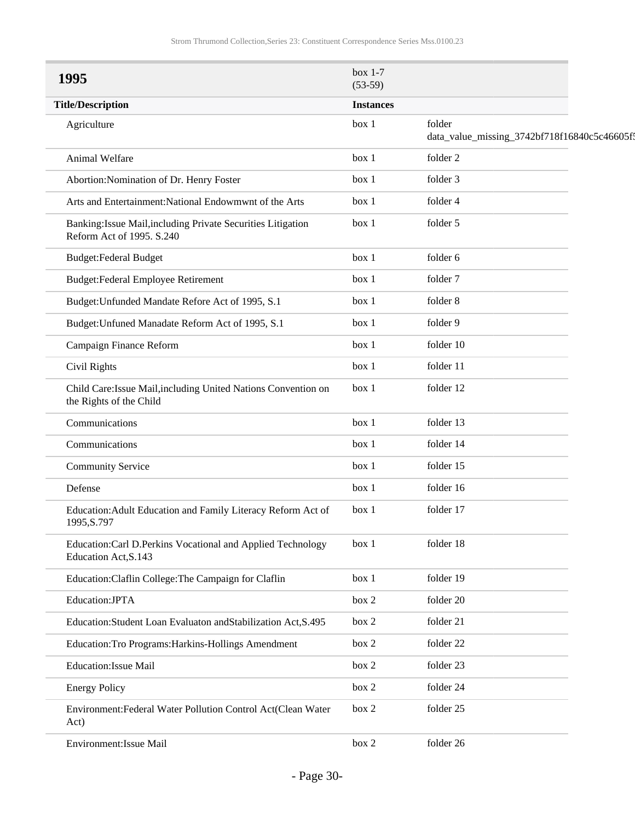<span id="page-29-0"></span>

| 1995                                                                                      | box $1-7$<br>$(53-59)$ |                                                        |
|-------------------------------------------------------------------------------------------|------------------------|--------------------------------------------------------|
| <b>Title/Description</b>                                                                  | <b>Instances</b>       |                                                        |
| Agriculture                                                                               | box 1                  | folder<br>data_value_missing_3742bf718f16840c5c46605f; |
| Animal Welfare                                                                            | box 1                  | folder 2                                               |
| Abortion: Nomination of Dr. Henry Foster                                                  | box 1                  | folder 3                                               |
| Arts and Entertainment: National Endowmwnt of the Arts                                    | box 1                  | folder 4                                               |
| Banking: Issue Mail, including Private Securities Litigation<br>Reform Act of 1995. S.240 | box 1                  | folder 5                                               |
| <b>Budget:Federal Budget</b>                                                              | box 1                  | folder 6                                               |
| <b>Budget:Federal Employee Retirement</b>                                                 | box 1                  | folder 7                                               |
| Budget: Unfunded Mandate Refore Act of 1995, S.1                                          | box 1                  | folder 8                                               |
| Budget: Unfuned Manadate Reform Act of 1995, S.1                                          | box 1                  | folder 9                                               |
| Campaign Finance Reform                                                                   | box 1                  | folder 10                                              |
| Civil Rights                                                                              | box 1                  | folder 11                                              |
| Child Care: Issue Mail, including United Nations Convention on<br>the Rights of the Child | box 1                  | folder 12                                              |
| Communications                                                                            | box 1                  | folder 13                                              |
| Communications                                                                            | box 1                  | folder 14                                              |
| <b>Community Service</b>                                                                  | box 1                  | folder 15                                              |
| Defense                                                                                   | box 1                  | folder 16                                              |
| Education: Adult Education and Family Literacy Reform Act of<br>1995, S.797               | box 1                  | folder 17                                              |
| Education:Carl D.Perkins Vocational and Applied Technology<br>Education Act, S.143        | box 1                  | folder 18                                              |
| Education: Claflin College: The Campaign for Claflin                                      | box 1                  | folder 19                                              |
| Education:JPTA                                                                            | box 2                  | folder 20                                              |
| Education: Student Loan Evaluaton and Stabilization Act, S.495                            | box 2                  | folder 21                                              |
| Education: Tro Programs: Harkins-Hollings Amendment                                       | box 2                  | folder 22                                              |
| <b>Education:Issue Mail</b>                                                               | box 2                  | folder 23                                              |
| <b>Energy Policy</b>                                                                      | box 2                  | folder 24                                              |
| Environment: Federal Water Pollution Control Act(Clean Water<br>Act)                      | box 2                  | folder 25                                              |
| Environment: Issue Mail                                                                   | box 2                  | folder 26                                              |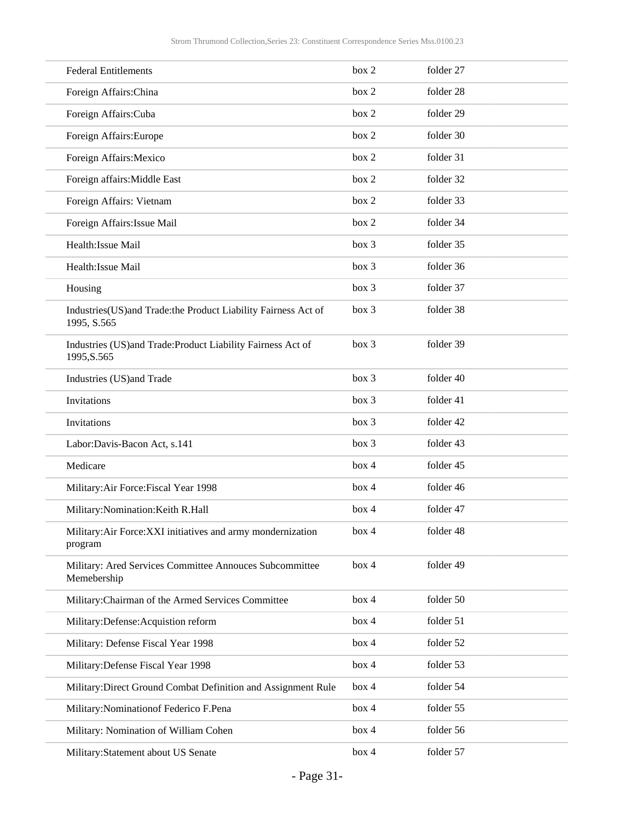| <b>Federal Entitlements</b>                                                   | box 2 | folder 27 |
|-------------------------------------------------------------------------------|-------|-----------|
| Foreign Affairs: China                                                        | box 2 | folder 28 |
| Foreign Affairs: Cuba                                                         | box 2 | folder 29 |
| Foreign Affairs: Europe                                                       | box 2 | folder 30 |
| Foreign Affairs: Mexico                                                       | box 2 | folder 31 |
| Foreign affairs: Middle East                                                  | box 2 | folder 32 |
| Foreign Affairs: Vietnam                                                      | box 2 | folder 33 |
| Foreign Affairs: Issue Mail                                                   | box 2 | folder 34 |
| Health: Issue Mail                                                            | box 3 | folder 35 |
| Health: Issue Mail                                                            | box 3 | folder 36 |
| Housing                                                                       | box 3 | folder 37 |
| Industries(US)and Trade: the Product Liability Fairness Act of<br>1995, S.565 | box 3 | folder 38 |
| Industries (US)and Trade: Product Liability Fairness Act of<br>1995, S.565    | box 3 | folder 39 |
| Industries (US)and Trade                                                      | box 3 | folder 40 |
| Invitations                                                                   | box 3 | folder 41 |
| Invitations                                                                   | box 3 | folder 42 |
| Labor: Davis-Bacon Act, s.141                                                 | box 3 | folder 43 |
| Medicare                                                                      | box 4 | folder 45 |
| Military: Air Force: Fiscal Year 1998                                         | box 4 | folder 46 |
| Military: Nomination: Keith R.Hall                                            | box 4 | folder 47 |
| Military: Air Force: XXI initiatives and army mondernization<br>program       | box 4 | folder 48 |
| Military: Ared Services Committee Annouces Subcommittee<br>Memebership        | box 4 | folder 49 |
| Military: Chairman of the Armed Services Committee                            | box 4 | folder 50 |
| Military:Defense:Acquistion reform                                            | box 4 | folder 51 |
| Military: Defense Fiscal Year 1998                                            | box 4 | folder 52 |
| Military: Defense Fiscal Year 1998                                            | box 4 | folder 53 |
| Military: Direct Ground Combat Definition and Assignment Rule                 | box 4 | folder 54 |
| Military: Nomination of Federico F. Pena                                      | box 4 | folder 55 |
| Military: Nomination of William Cohen                                         | box 4 | folder 56 |
| Military: Statement about US Senate                                           | box 4 | folder 57 |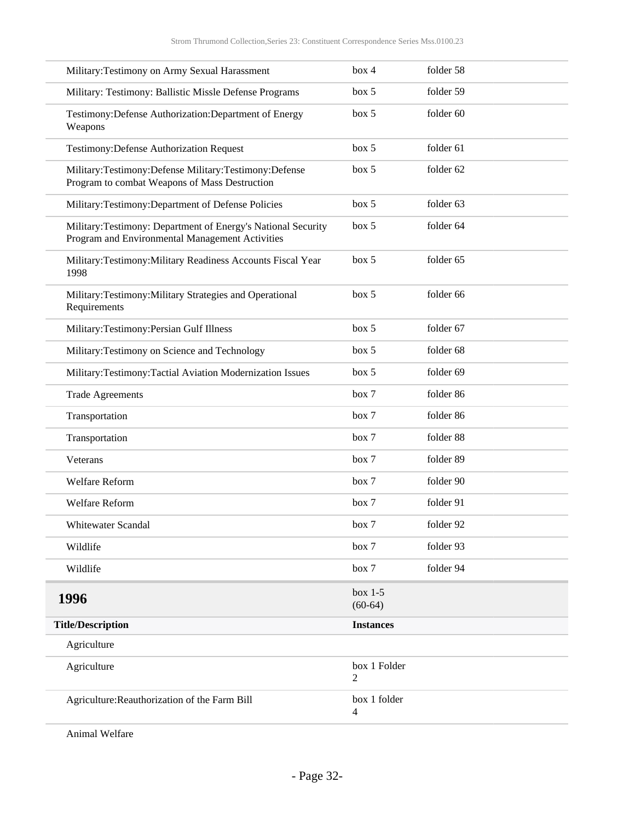| Military: Testimony on Army Sexual Harassment                                                                    | box 4                  | folder 58 |
|------------------------------------------------------------------------------------------------------------------|------------------------|-----------|
| Military: Testimony: Ballistic Missle Defense Programs                                                           | box 5                  | folder 59 |
| Testimony: Defense Authorization: Department of Energy<br>Weapons                                                | box~5                  | folder 60 |
| <b>Testimony: Defense Authorization Request</b>                                                                  | box 5                  | folder 61 |
| Military:Testimony:Defense Military:Testimony:Defense<br>Program to combat Weapons of Mass Destruction           | box 5                  | folder 62 |
| Military:Testimony:Department of Defense Policies                                                                | box 5                  | folder 63 |
| Military: Testimony: Department of Energy's National Security<br>Program and Environmental Management Activities | box~5                  | folder 64 |
| Military:Testimony:Military Readiness Accounts Fiscal Year<br>1998                                               | box 5                  | folder 65 |
| Military:Testimony:Military Strategies and Operational<br>Requirements                                           | box 5                  | folder 66 |
| Military:Testimony:Persian Gulf Illness                                                                          | box 5                  | folder 67 |
| Military: Testimony on Science and Technology                                                                    | box~5                  | folder 68 |
| Military:Testimony:Tactial Aviation Modernization Issues                                                         | box 5                  | folder 69 |
| <b>Trade Agreements</b>                                                                                          | box 7                  | folder 86 |
| Transportation                                                                                                   | box 7                  | folder 86 |
| Transportation                                                                                                   | box 7                  | folder 88 |
| Veterans                                                                                                         | box 7                  | folder 89 |
| Welfare Reform                                                                                                   | box 7                  | folder 90 |
| Welfare Reform                                                                                                   | box 7                  | folder 91 |
| Whitewater Scandal                                                                                               | box 7                  | folder 92 |
| Wildlife                                                                                                         | box 7                  | folder 93 |
| Wildlife                                                                                                         | box 7                  | folder 94 |
| 1996                                                                                                             | $box 1-5$<br>$(60-64)$ |           |
| <b>Title/Description</b>                                                                                         | <b>Instances</b>       |           |
| Agriculture                                                                                                      |                        |           |
| Agriculture                                                                                                      | box 1 Folder<br>2      |           |
| Agriculture: Reauthorization of the Farm Bill                                                                    | box 1 folder<br>4      |           |

<span id="page-31-0"></span>Animal Welfare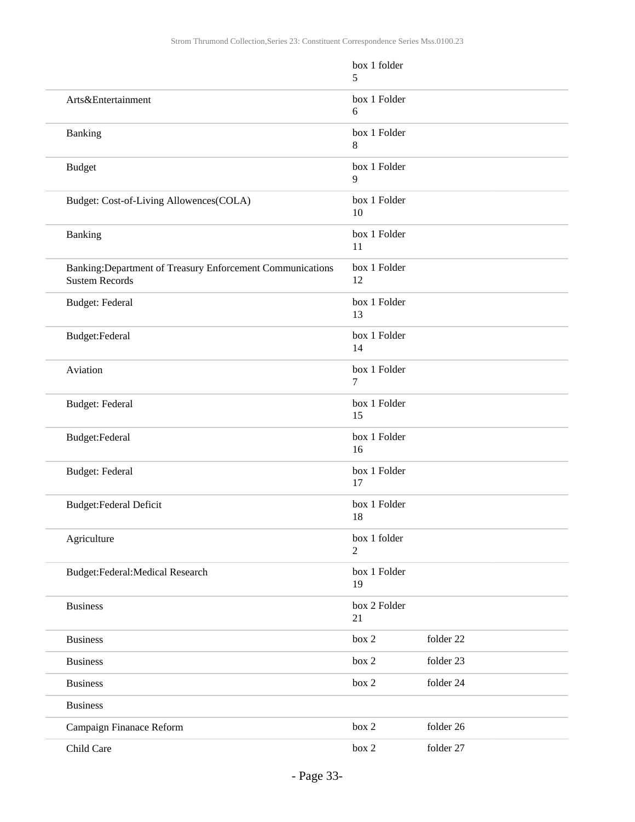|                                                                                     | box 1 folder<br>5  |           |
|-------------------------------------------------------------------------------------|--------------------|-----------|
| Arts&Entertainment                                                                  | box 1 Folder<br>6  |           |
| Banking                                                                             | box 1 Folder<br>8  |           |
| <b>Budget</b>                                                                       | box 1 Folder<br>9  |           |
| Budget: Cost-of-Living Allowences(COLA)                                             | box 1 Folder<br>10 |           |
| Banking                                                                             | box 1 Folder<br>11 |           |
| Banking: Department of Treasury Enforcement Communications<br><b>Sustem Records</b> | box 1 Folder<br>12 |           |
| Budget: Federal                                                                     | box 1 Folder<br>13 |           |
| Budget:Federal                                                                      | box 1 Folder<br>14 |           |
| Aviation                                                                            | box 1 Folder<br>7  |           |
| Budget: Federal                                                                     | box 1 Folder<br>15 |           |
| Budget:Federal                                                                      | box 1 Folder<br>16 |           |
| Budget: Federal                                                                     | box 1 Folder<br>17 |           |
| Budget:Federal Deficit                                                              | box 1 Folder<br>18 |           |
| Agriculture                                                                         | box 1 folder<br>2  |           |
| Budget:Federal:Medical Research                                                     | box 1 Folder<br>19 |           |
| <b>Business</b>                                                                     | box 2 Folder<br>21 |           |
| <b>Business</b>                                                                     | box 2              | folder 22 |
| <b>Business</b>                                                                     | box 2              | folder 23 |
| <b>Business</b>                                                                     | box 2              | folder 24 |
| <b>Business</b>                                                                     |                    |           |
| Campaign Finanace Reform                                                            | box 2              | folder 26 |
| Child Care                                                                          | box 2              | folder 27 |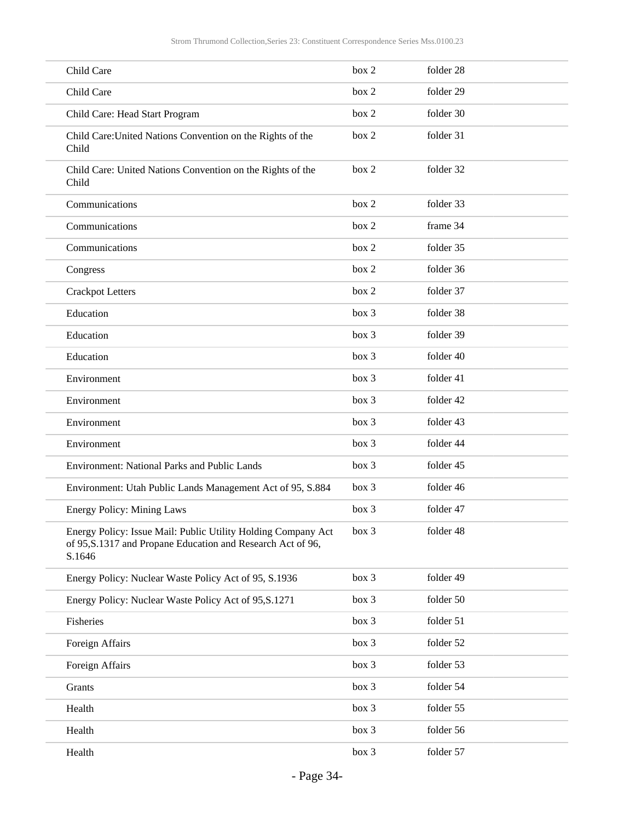| Child Care                                                                                                                             | box 2 | folder 28 |
|----------------------------------------------------------------------------------------------------------------------------------------|-------|-----------|
| Child Care                                                                                                                             | box 2 | folder 29 |
| Child Care: Head Start Program                                                                                                         | box 2 | folder 30 |
| Child Care: United Nations Convention on the Rights of the<br>Child                                                                    | box 2 | folder 31 |
| Child Care: United Nations Convention on the Rights of the<br>Child                                                                    | box 2 | folder 32 |
| Communications                                                                                                                         | box 2 | folder 33 |
| Communications                                                                                                                         | box 2 | frame 34  |
| Communications                                                                                                                         | box 2 | folder 35 |
| Congress                                                                                                                               | box 2 | folder 36 |
| <b>Crackpot Letters</b>                                                                                                                | box 2 | folder 37 |
| Education                                                                                                                              | box 3 | folder 38 |
| Education                                                                                                                              | box 3 | folder 39 |
| Education                                                                                                                              | box 3 | folder 40 |
| Environment                                                                                                                            | box 3 | folder 41 |
| Environment                                                                                                                            | box 3 | folder 42 |
| Environment                                                                                                                            | box 3 | folder 43 |
| Environment                                                                                                                            | box 3 | folder 44 |
| Environment: National Parks and Public Lands                                                                                           | box 3 | folder 45 |
| Environment: Utah Public Lands Management Act of 95, S.884                                                                             | box 3 | folder 46 |
| <b>Energy Policy: Mining Laws</b>                                                                                                      | box 3 | folder 47 |
| Energy Policy: Issue Mail: Public Utility Holding Company Act<br>of 95, S.1317 and Propane Education and Research Act of 96,<br>S.1646 | box 3 | folder 48 |
| Energy Policy: Nuclear Waste Policy Act of 95, S.1936                                                                                  | box 3 | folder 49 |
| Energy Policy: Nuclear Waste Policy Act of 95, S.1271                                                                                  | box 3 | folder 50 |
| Fisheries                                                                                                                              | box 3 | folder 51 |
| Foreign Affairs                                                                                                                        | box 3 | folder 52 |
| Foreign Affairs                                                                                                                        | box 3 | folder 53 |
| Grants                                                                                                                                 | box 3 | folder 54 |
| Health                                                                                                                                 | box 3 | folder 55 |
| Health                                                                                                                                 | box 3 | folder 56 |
| Health                                                                                                                                 | box 3 | folder 57 |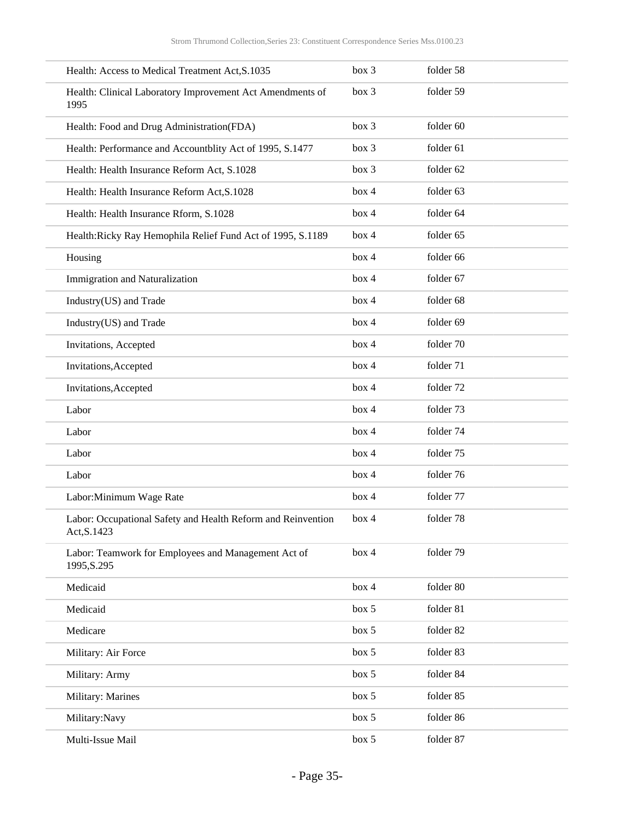| Health: Access to Medical Treatment Act, S.1035                             | box 3 | folder 58 |
|-----------------------------------------------------------------------------|-------|-----------|
| Health: Clinical Laboratory Improvement Act Amendments of<br>1995           | box 3 | folder 59 |
| Health: Food and Drug Administration(FDA)                                   | box 3 | folder 60 |
| Health: Performance and Accountblity Act of 1995, S.1477                    | box 3 | folder 61 |
| Health: Health Insurance Reform Act, S.1028                                 | box 3 | folder 62 |
| Health: Health Insurance Reform Act, S.1028                                 | box 4 | folder 63 |
| Health: Health Insurance Rform, S.1028                                      | box 4 | folder 64 |
| Health: Ricky Ray Hemophila Relief Fund Act of 1995, S.1189                 | box 4 | folder 65 |
| Housing                                                                     | box 4 | folder 66 |
| Immigration and Naturalization                                              | box 4 | folder 67 |
| Industry(US) and Trade                                                      | box 4 | folder 68 |
| Industry(US) and Trade                                                      | box 4 | folder 69 |
| Invitations, Accepted                                                       | box 4 | folder 70 |
| Invitations, Accepted                                                       | box 4 | folder 71 |
| Invitations, Accepted                                                       | box 4 | folder 72 |
| Labor                                                                       | box 4 | folder 73 |
| Labor                                                                       | box 4 | folder 74 |
| Labor                                                                       | box 4 | folder 75 |
| Labor                                                                       | box 4 | folder 76 |
| Labor: Minimum Wage Rate                                                    | box 4 | folder 77 |
| Labor: Occupational Safety and Health Reform and Reinvention<br>Act, S.1423 | box 4 | folder 78 |
| Labor: Teamwork for Employees and Management Act of<br>1995, S.295          | box 4 | folder 79 |
| Medicaid                                                                    | box 4 | folder 80 |
| Medicaid                                                                    | box 5 | folder 81 |
| Medicare                                                                    | box 5 | folder 82 |
| Military: Air Force                                                         | box 5 | folder 83 |
| Military: Army                                                              | box 5 | folder 84 |
| Military: Marines                                                           | box 5 | folder 85 |
| Military:Navy                                                               | box 5 | folder 86 |
| Multi-Issue Mail                                                            | box 5 | folder 87 |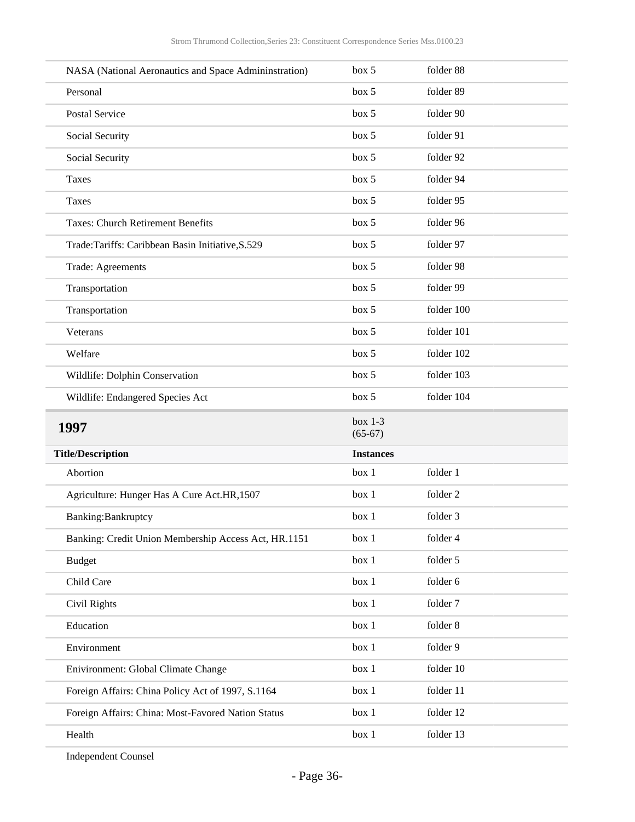| NASA (National Aeronautics and Space Admininstration) | box 5                  | folder 88  |
|-------------------------------------------------------|------------------------|------------|
| Personal                                              | box 5                  | folder 89  |
| <b>Postal Service</b>                                 | box 5                  | folder 90  |
| Social Security                                       | box 5                  | folder 91  |
| Social Security                                       | box 5                  | folder 92  |
| <b>Taxes</b>                                          | box 5                  | folder 94  |
| <b>Taxes</b>                                          | box 5                  | folder 95  |
| <b>Taxes: Church Retirement Benefits</b>              | box 5                  | folder 96  |
| Trade:Tariffs: Caribbean Basin Initiative, S.529      | box 5                  | folder 97  |
| Trade: Agreements                                     | box 5                  | folder 98  |
| Transportation                                        | box 5                  | folder 99  |
| Transportation                                        | box 5                  | folder 100 |
| Veterans                                              | box 5                  | folder 101 |
| Welfare                                               | box 5                  | folder 102 |
| Wildlife: Dolphin Conservation                        | box 5                  | folder 103 |
| Wildlife: Endangered Species Act                      | box 5                  | folder 104 |
|                                                       |                        |            |
| 1997                                                  | box $1-3$<br>$(65-67)$ |            |
| <b>Title/Description</b>                              | <b>Instances</b>       |            |
| Abortion                                              | box 1                  | folder 1   |
| Agriculture: Hunger Has A Cure Act.HR,1507            | box 1                  | folder 2   |
| Banking: Bankruptcy                                   | box 1                  | folder 3   |
| Banking: Credit Union Membership Access Act, HR.1151  | box 1                  | folder 4   |
| <b>Budget</b>                                         | box 1                  | folder 5   |
| Child Care                                            | box 1                  | folder 6   |
| Civil Rights                                          | box 1                  | folder 7   |
| Education                                             | box 1                  | folder 8   |
| Environment                                           | box 1                  | folder 9   |
| Enivironment: Global Climate Change                   | box 1                  | folder 10  |
| Foreign Affairs: China Policy Act of 1997, S.1164     | box 1                  | folder 11  |
| Foreign Affairs: China: Most-Favored Nation Status    | box 1                  | folder 12  |
| Health                                                | box 1                  | folder 13  |

<span id="page-35-0"></span>Independent Counsel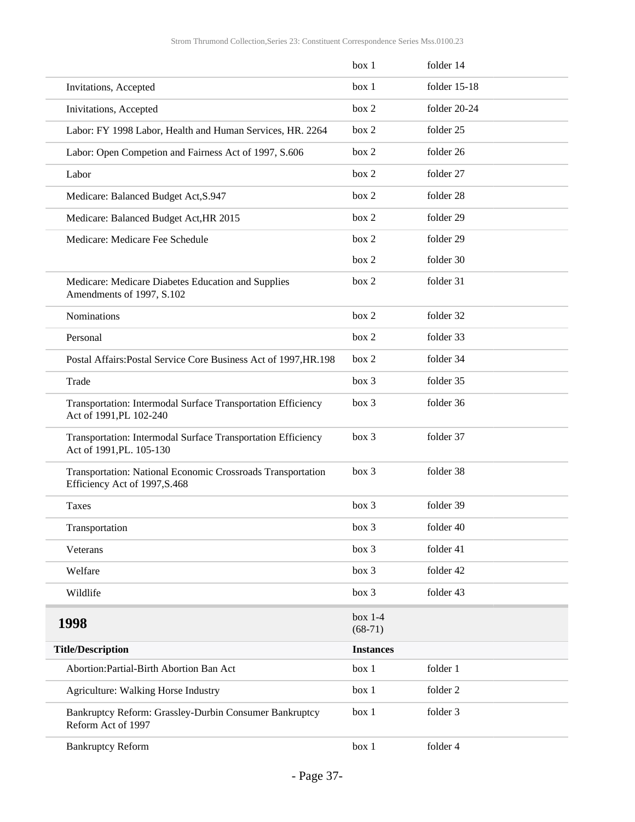<span id="page-36-0"></span>

|                                                                                              | box 1                  | folder 14    |
|----------------------------------------------------------------------------------------------|------------------------|--------------|
| Invitations, Accepted                                                                        | box 1                  | folder 15-18 |
| Inivitations, Accepted                                                                       | box 2                  | folder 20-24 |
| Labor: FY 1998 Labor, Health and Human Services, HR. 2264                                    | box 2                  | folder 25    |
| Labor: Open Competion and Fairness Act of 1997, S.606                                        | box 2                  | folder 26    |
| Labor                                                                                        | box 2                  | folder 27    |
| Medicare: Balanced Budget Act, S.947                                                         | box 2                  | folder 28    |
| Medicare: Balanced Budget Act, HR 2015                                                       | box 2                  | folder 29    |
| Medicare: Medicare Fee Schedule                                                              | box 2                  | folder 29    |
|                                                                                              | box 2                  | folder 30    |
| Medicare: Medicare Diabetes Education and Supplies<br>Amendments of 1997, S.102              | box 2                  | folder 31    |
| Nominations                                                                                  | box 2                  | folder 32    |
| Personal                                                                                     | box 2                  | folder 33    |
| Postal Affairs: Postal Service Core Business Act of 1997, HR. 198                            | box 2                  | folder 34    |
| Trade                                                                                        | box 3                  | folder 35    |
| Transportation: Intermodal Surface Transportation Efficiency<br>Act of 1991, PL 102-240      | box 3                  | folder 36    |
| Transportation: Intermodal Surface Transportation Efficiency<br>Act of 1991, PL. 105-130     | box 3                  | folder 37    |
| Transportation: National Economic Crossroads Transportation<br>Efficiency Act of 1997, S.468 | box 3                  | folder 38    |
| <b>Taxes</b>                                                                                 | box 3                  | folder 39    |
| Transportation                                                                               | box 3                  | folder 40    |
| Veterans                                                                                     | box 3                  | folder 41    |
| Welfare                                                                                      | box 3                  | folder 42    |
| Wildlife                                                                                     | box 3                  | folder 43    |
| 1998                                                                                         | $box 1-4$<br>$(68-71)$ |              |
| <b>Title/Description</b>                                                                     | <b>Instances</b>       |              |
| Abortion: Partial-Birth Abortion Ban Act                                                     | box 1                  | folder 1     |
| Agriculture: Walking Horse Industry                                                          | box 1                  | folder 2     |
| Bankruptcy Reform: Grassley-Durbin Consumer Bankruptcy<br>Reform Act of 1997                 | box 1                  | folder 3     |
| <b>Bankruptcy Reform</b>                                                                     | box 1                  | folder 4     |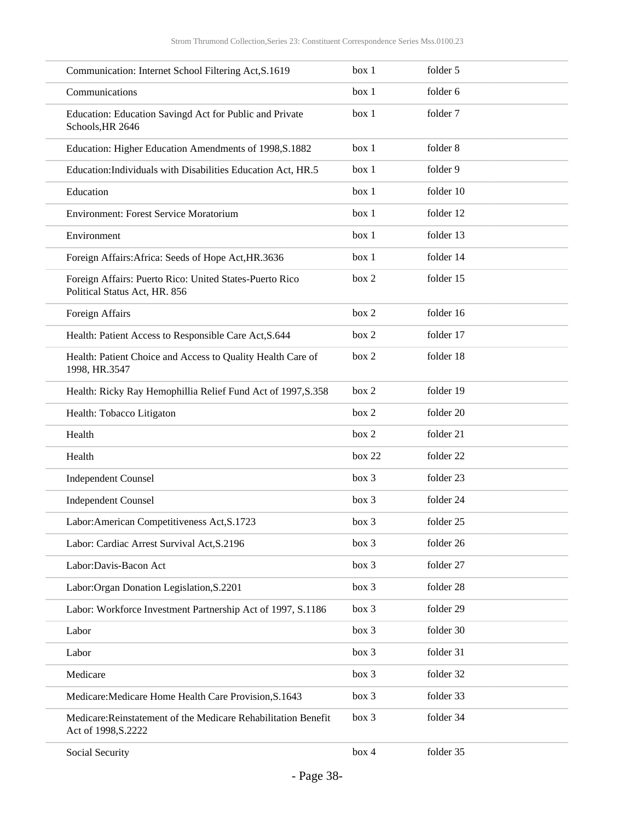| Communication: Internet School Filtering Act, S.1619                                     | box 1  | folder 5  |
|------------------------------------------------------------------------------------------|--------|-----------|
| Communications                                                                           | box 1  | folder 6  |
| Education: Education Savingd Act for Public and Private<br>Schools, HR 2646              | box 1  | folder 7  |
| Education: Higher Education Amendments of 1998, S.1882                                   | box 1  | folder 8  |
| Education: Individuals with Disabilities Education Act, HR.5                             | box 1  | folder 9  |
| Education                                                                                | box 1  | folder 10 |
| <b>Environment: Forest Service Moratorium</b>                                            | box 1  | folder 12 |
| Environment                                                                              | box 1  | folder 13 |
| Foreign Affairs: Africa: Seeds of Hope Act, HR.3636                                      | box 1  | folder 14 |
| Foreign Affairs: Puerto Rico: United States-Puerto Rico<br>Political Status Act, HR. 856 | box 2  | folder 15 |
| Foreign Affairs                                                                          | box 2  | folder 16 |
| Health: Patient Access to Responsible Care Act, S.644                                    | box 2  | folder 17 |
| Health: Patient Choice and Access to Quality Health Care of<br>1998, HR.3547             | box 2  | folder 18 |
| Health: Ricky Ray Hemophillia Relief Fund Act of 1997, S.358                             | box 2  | folder 19 |
| Health: Tobacco Litigaton                                                                | box 2  | folder 20 |
| Health                                                                                   | box 2  | folder 21 |
| Health                                                                                   | box 22 | folder 22 |
| <b>Independent Counsel</b>                                                               | box 3  | folder 23 |
| <b>Independent Counsel</b>                                                               | box 3  | folder 24 |
| Labor: American Competitiveness Act, S.1723                                              | box 3  | folder 25 |
| Labor: Cardiac Arrest Survival Act, S.2196                                               | box 3  | folder 26 |
| Labor: Davis-Bacon Act                                                                   | box 3  | folder 27 |
| Labor: Organ Donation Legislation, S.2201                                                | box 3  | folder 28 |
| Labor: Workforce Investment Partnership Act of 1997, S.1186                              | box 3  | folder 29 |
| Labor                                                                                    | box 3  | folder 30 |
| Labor                                                                                    | box 3  | folder 31 |
| Medicare                                                                                 | box 3  | folder 32 |
| Medicare: Medicare Home Health Care Provision, S.1643                                    | box 3  | folder 33 |
| Medicare:Reinstatement of the Medicare Rehabilitation Benefit<br>Act of 1998, S.2222     | box 3  | folder 34 |
| Social Security                                                                          | box 4  | folder 35 |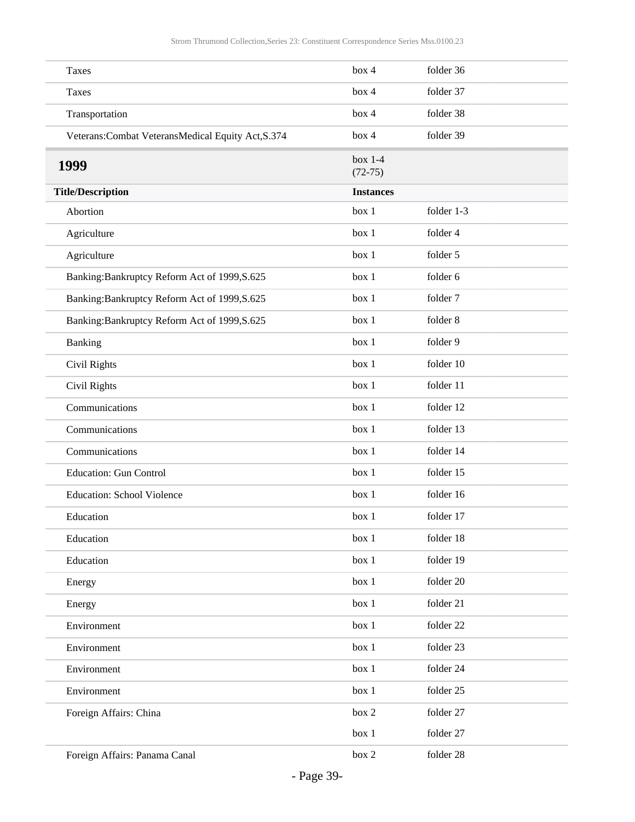<span id="page-38-0"></span>

| Taxes                                               | box 4                  | folder 36  |
|-----------------------------------------------------|------------------------|------------|
| <b>Taxes</b>                                        | box 4                  | folder 37  |
| Transportation                                      | box 4                  | folder 38  |
| Veterans: Combat Veterans Medical Equity Act, S.374 | box 4                  | folder 39  |
| 1999                                                | $box 1-4$<br>$(72-75)$ |            |
| <b>Title/Description</b>                            | <b>Instances</b>       |            |
| Abortion                                            | box 1                  | folder 1-3 |
| Agriculture                                         | box 1                  | folder 4   |
| Agriculture                                         | box 1                  | folder 5   |
| Banking: Bankruptcy Reform Act of 1999, S.625       | box 1                  | folder 6   |
| Banking: Bankruptcy Reform Act of 1999, S.625       | box 1                  | folder 7   |
| Banking: Bankruptcy Reform Act of 1999, S.625       | box 1                  | folder 8   |
| Banking                                             | box 1                  | folder 9   |
| Civil Rights                                        | box 1                  | folder 10  |
| Civil Rights                                        | box 1                  | folder 11  |
| Communications                                      | box 1                  | folder 12  |
| Communications                                      | box 1                  | folder 13  |
| Communications                                      | box 1                  | folder 14  |
| <b>Education: Gun Control</b>                       | box 1                  | folder 15  |
| <b>Education: School Violence</b>                   | box 1                  | folder 16  |
| Education                                           | box 1                  | folder 17  |
| Education                                           | box 1                  | folder 18  |
| Education                                           | box 1                  | folder 19  |
| Energy                                              | box 1                  | folder 20  |
| Energy                                              | box 1                  | folder 21  |
| Environment                                         | box 1                  | folder 22  |
| Environment                                         | box 1                  | folder 23  |
| Environment                                         | box 1                  | folder 24  |
| Environment                                         | box 1                  | folder 25  |
| Foreign Affairs: China                              | box 2                  | folder 27  |
|                                                     | box 1                  | folder 27  |
| Foreign Affairs: Panama Canal                       | box 2                  | folder 28  |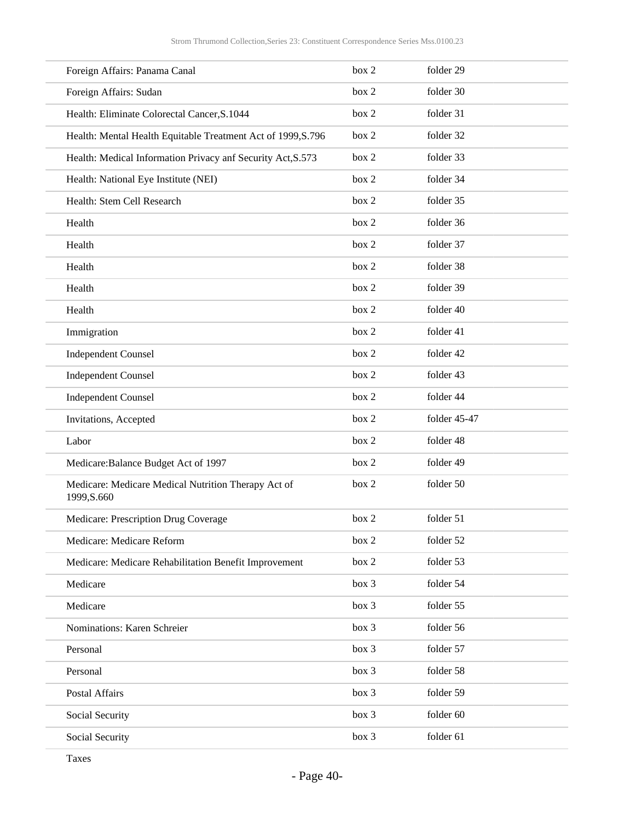| Foreign Affairs: Panama Canal                                      | box 2 | folder 29    |
|--------------------------------------------------------------------|-------|--------------|
| Foreign Affairs: Sudan                                             | box 2 | folder 30    |
| Health: Eliminate Colorectal Cancer, S.1044                        | box 2 | folder 31    |
| Health: Mental Health Equitable Treatment Act of 1999, S.796       | box 2 | folder 32    |
| Health: Medical Information Privacy anf Security Act, S.573        | box 2 | folder 33    |
| Health: National Eye Institute (NEI)                               | box 2 | folder 34    |
| Health: Stem Cell Research                                         | box 2 | folder 35    |
| Health                                                             | box 2 | folder 36    |
| Health                                                             | box 2 | folder 37    |
| Health                                                             | box 2 | folder 38    |
| Health                                                             | box 2 | folder 39    |
| Health                                                             | box 2 | folder 40    |
| Immigration                                                        | box 2 | folder 41    |
| <b>Independent Counsel</b>                                         | box 2 | folder 42    |
| <b>Independent Counsel</b>                                         | box 2 | folder 43    |
| <b>Independent Counsel</b>                                         | box 2 | folder 44    |
| Invitations, Accepted                                              | box 2 | folder 45-47 |
| Labor                                                              | box 2 | folder 48    |
| Medicare: Balance Budget Act of 1997                               | box 2 | folder 49    |
| Medicare: Medicare Medical Nutrition Therapy Act of<br>1999, S.660 | box 2 | folder 50    |
| Medicare: Prescription Drug Coverage                               | box 2 | folder 51    |
| Medicare: Medicare Reform                                          | box 2 | folder 52    |
| Medicare: Medicare Rehabilitation Benefit Improvement              | box 2 | folder 53    |
| Medicare                                                           | box 3 | folder 54    |
| Medicare                                                           | box 3 | folder 55    |
| Nominations: Karen Schreier                                        | box 3 | folder 56    |
| Personal                                                           | box 3 | folder 57    |
| Personal                                                           | box 3 | folder 58    |
| Postal Affairs                                                     | box 3 | folder 59    |
| Social Security                                                    | box 3 | folder 60    |
| Social Security                                                    | box 3 | folder 61    |

Taxes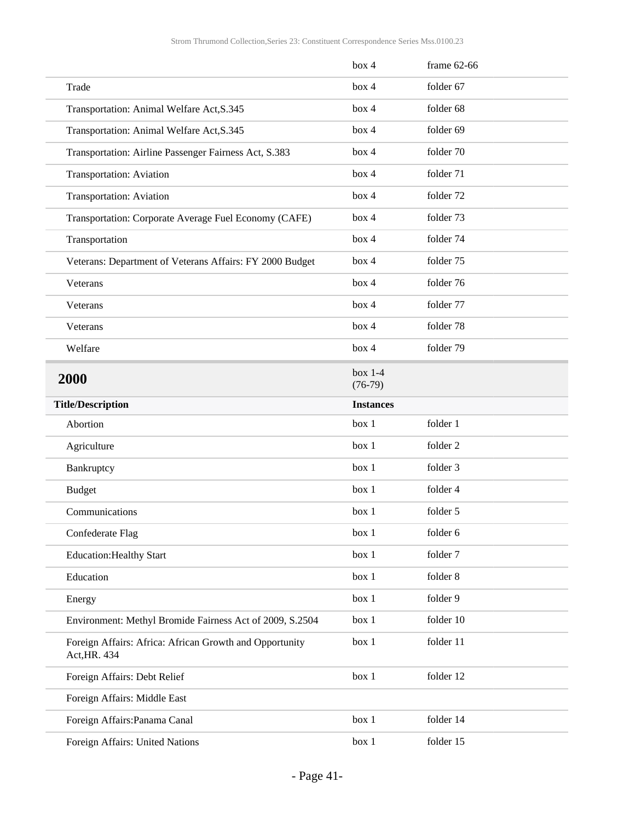<span id="page-40-0"></span>

|                                                                         | box 4                  | frame $62-66$ |
|-------------------------------------------------------------------------|------------------------|---------------|
| Trade                                                                   | box 4                  | folder 67     |
| Transportation: Animal Welfare Act, S.345                               | box 4                  | folder 68     |
| Transportation: Animal Welfare Act, S.345                               | box 4                  | folder 69     |
| Transportation: Airline Passenger Fairness Act, S.383                   | box 4                  | folder 70     |
| <b>Transportation: Aviation</b>                                         | box 4                  | folder 71     |
| Transportation: Aviation                                                | box 4                  | folder 72     |
| Transportation: Corporate Average Fuel Economy (CAFE)                   | box 4                  | folder 73     |
| Transportation                                                          | box 4                  | folder 74     |
| Veterans: Department of Veterans Affairs: FY 2000 Budget                | box 4                  | folder 75     |
| Veterans                                                                | box 4                  | folder 76     |
| Veterans                                                                | box 4                  | folder 77     |
| Veterans                                                                | box 4                  | folder 78     |
| Welfare                                                                 | box 4                  | folder 79     |
| 2000                                                                    | box $1-4$<br>$(76-79)$ |               |
| <b>Title/Description</b>                                                | <b>Instances</b>       |               |
| Abortion                                                                | box 1                  | folder 1      |
| Agriculture                                                             | box 1                  | folder 2      |
| Bankruptcy                                                              | box 1                  | folder 3      |
| <b>Budget</b>                                                           | box 1                  | folder 4      |
| Communications                                                          | box 1                  | folder 5      |
| Confederate Flag                                                        | box 1                  | folder 6      |
| <b>Education: Healthy Start</b>                                         | box 1                  | folder 7      |
| Education                                                               | box 1                  | folder 8      |
| Energy                                                                  | box 1                  | folder 9      |
| Environment: Methyl Bromide Fairness Act of 2009, S.2504                | box 1                  | folder 10     |
| Foreign Affairs: Africa: African Growth and Opportunity<br>Act, HR. 434 | box 1                  | folder 11     |
| Foreign Affairs: Debt Relief                                            | box 1                  | folder 12     |
| Foreign Affairs: Middle East                                            |                        |               |
| Foreign Affairs: Panama Canal                                           | box 1                  | folder 14     |
| Foreign Affairs: United Nations                                         | box 1                  | folder 15     |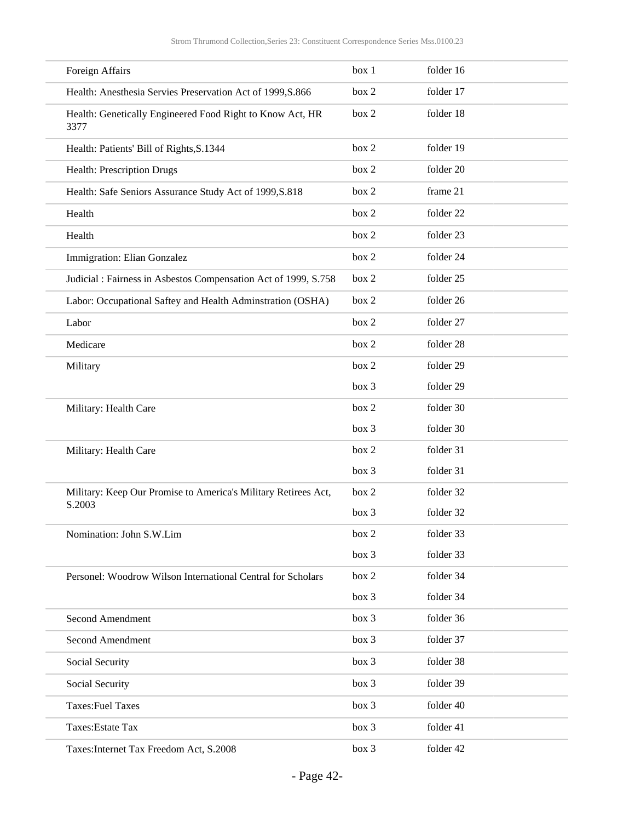| Foreign Affairs                                                          | box 1 | folder 16 |
|--------------------------------------------------------------------------|-------|-----------|
| Health: Anesthesia Servies Preservation Act of 1999, S.866               | box 2 | folder 17 |
| Health: Genetically Engineered Food Right to Know Act, HR<br>3377        | box 2 | folder 18 |
| Health: Patients' Bill of Rights, S.1344                                 | box 2 | folder 19 |
| Health: Prescription Drugs                                               | box 2 | folder 20 |
| Health: Safe Seniors Assurance Study Act of 1999, S.818                  | box 2 | frame 21  |
| Health                                                                   | box 2 | folder 22 |
| Health                                                                   | box 2 | folder 23 |
| Immigration: Elian Gonzalez                                              | box 2 | folder 24 |
| Judicial : Fairness in Asbestos Compensation Act of 1999, S.758          | box 2 | folder 25 |
| Labor: Occupational Saftey and Health Adminstration (OSHA)               | box 2 | folder 26 |
| Labor                                                                    | box 2 | folder 27 |
| Medicare                                                                 | box 2 | folder 28 |
| Military                                                                 | box 2 | folder 29 |
|                                                                          | box 3 | folder 29 |
| Military: Health Care                                                    | box 2 | folder 30 |
|                                                                          | box 3 | folder 30 |
| Military: Health Care                                                    | box 2 | folder 31 |
|                                                                          | box 3 | folder 31 |
| Military: Keep Our Promise to America's Military Retirees Act,<br>S.2003 | box 2 | folder 32 |
|                                                                          | box 3 | folder 32 |
| Nomination: John S.W.Lim                                                 | box 2 | folder 33 |
|                                                                          | box 3 | folder 33 |
| Personel: Woodrow Wilson International Central for Scholars              | box 2 | folder 34 |
|                                                                          | box 3 | folder 34 |
| <b>Second Amendment</b>                                                  | box 3 | folder 36 |
| Second Amendment                                                         | box 3 | folder 37 |
| Social Security                                                          | box 3 | folder 38 |
| Social Security                                                          | box 3 | folder 39 |
| <b>Taxes:Fuel Taxes</b>                                                  | box 3 | folder 40 |
| Taxes: Estate Tax                                                        | box 3 | folder 41 |
| Taxes: Internet Tax Freedom Act, S.2008                                  | box 3 | folder 42 |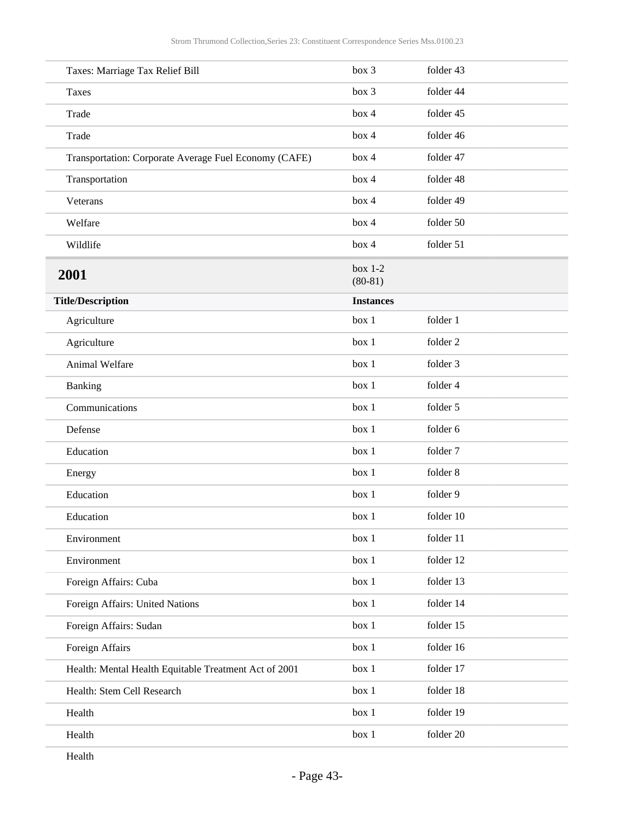<span id="page-42-0"></span>

Health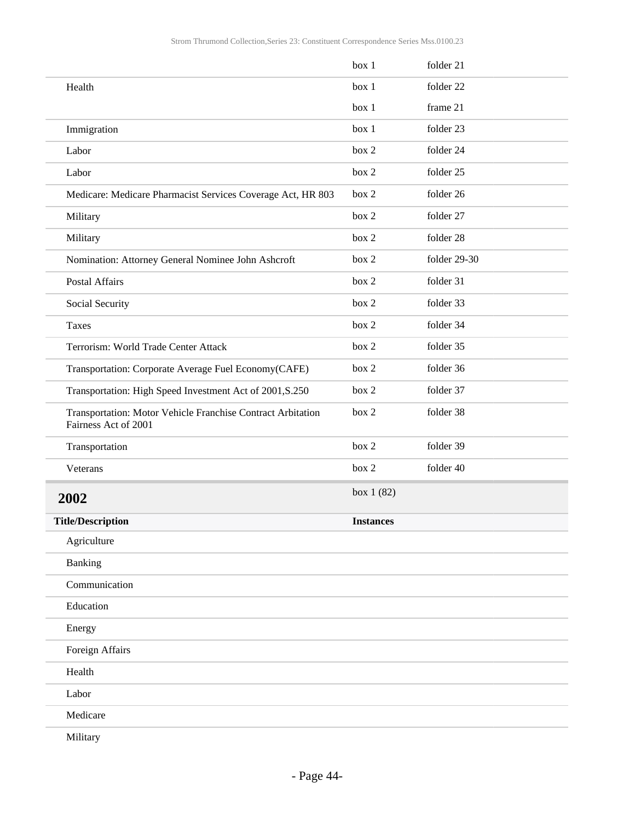<span id="page-43-0"></span>

|                                                                                     | box 1            | folder 21    |
|-------------------------------------------------------------------------------------|------------------|--------------|
| Health                                                                              | box 1            | folder 22    |
|                                                                                     | box 1            | frame 21     |
| Immigration                                                                         | box 1            | folder 23    |
| Labor                                                                               | box 2            | folder 24    |
| Labor                                                                               | box 2            | folder 25    |
| Medicare: Medicare Pharmacist Services Coverage Act, HR 803                         | box 2            | folder 26    |
| Military                                                                            | box 2            | folder 27    |
| Military                                                                            | box 2            | folder 28    |
| Nomination: Attorney General Nominee John Ashcroft                                  | box 2            | folder 29-30 |
| Postal Affairs                                                                      | box 2            | folder 31    |
| Social Security                                                                     | box 2            | folder 33    |
| <b>Taxes</b>                                                                        | box 2            | folder 34    |
| Terrorism: World Trade Center Attack                                                | box 2            | folder 35    |
| Transportation: Corporate Average Fuel Economy(CAFE)                                | box 2            | folder 36    |
| Transportation: High Speed Investment Act of 2001, S.250                            | box 2            | folder 37    |
| Transportation: Motor Vehicle Franchise Contract Arbitation<br>Fairness Act of 2001 | box 2            | folder 38    |
| Transportation                                                                      | box 2            | folder 39    |
| Veterans                                                                            | box 2            | folder 40    |
| 2002                                                                                | box 1 (82)       |              |
| <b>Title/Description</b>                                                            | <b>Instances</b> |              |
| Agriculture                                                                         |                  |              |
| Banking                                                                             |                  |              |
| Communication                                                                       |                  |              |
| Education                                                                           |                  |              |
| Energy                                                                              |                  |              |
| Foreign Affairs                                                                     |                  |              |
| Health                                                                              |                  |              |
| Labor                                                                               |                  |              |
| Medicare                                                                            |                  |              |
| Military                                                                            |                  |              |